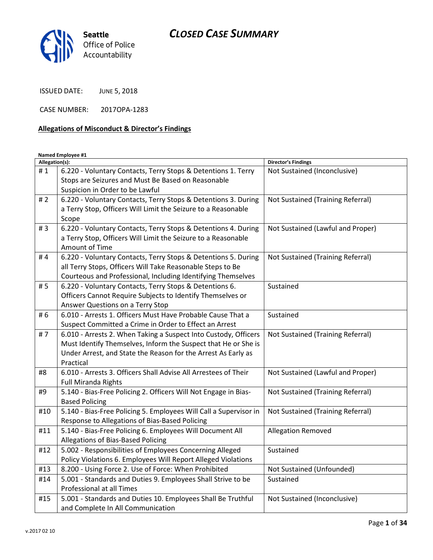

ISSUED DATE: JUNE 5, 2018

CASE NUMBER: 2017OPA-1283

## Allegations of Misconduct & Director's Findings

Named Employee #1

| Allegation(s): |                                                                   | <b>Director's Findings</b>        |
|----------------|-------------------------------------------------------------------|-----------------------------------|
| #1             | 6.220 - Voluntary Contacts, Terry Stops & Detentions 1. Terry     | Not Sustained (Inconclusive)      |
|                | Stops are Seizures and Must Be Based on Reasonable                |                                   |
|                | Suspicion in Order to be Lawful                                   |                                   |
| #2             | 6.220 - Voluntary Contacts, Terry Stops & Detentions 3. During    | Not Sustained (Training Referral) |
|                | a Terry Stop, Officers Will Limit the Seizure to a Reasonable     |                                   |
|                | Scope                                                             |                                   |
| #3             | 6.220 - Voluntary Contacts, Terry Stops & Detentions 4. During    | Not Sustained (Lawful and Proper) |
|                | a Terry Stop, Officers Will Limit the Seizure to a Reasonable     |                                   |
|                | Amount of Time                                                    |                                   |
| #4             | 6.220 - Voluntary Contacts, Terry Stops & Detentions 5. During    | Not Sustained (Training Referral) |
|                | all Terry Stops, Officers Will Take Reasonable Steps to Be        |                                   |
|                | Courteous and Professional, Including Identifying Themselves      |                                   |
| # 5            | 6.220 - Voluntary Contacts, Terry Stops & Detentions 6.           | Sustained                         |
|                | Officers Cannot Require Subjects to Identify Themselves or        |                                   |
|                | Answer Questions on a Terry Stop                                  |                                   |
| # 6            | 6.010 - Arrests 1. Officers Must Have Probable Cause That a       | Sustained                         |
|                | Suspect Committed a Crime in Order to Effect an Arrest            |                                   |
| #7             | 6.010 - Arrests 2. When Taking a Suspect Into Custody, Officers   | Not Sustained (Training Referral) |
|                | Must Identify Themselves, Inform the Suspect that He or She is    |                                   |
|                | Under Arrest, and State the Reason for the Arrest As Early as     |                                   |
|                | Practical                                                         |                                   |
| #8             | 6.010 - Arrests 3. Officers Shall Advise All Arrestees of Their   | Not Sustained (Lawful and Proper) |
|                | <b>Full Miranda Rights</b>                                        |                                   |
| #9             | 5.140 - Bias-Free Policing 2. Officers Will Not Engage in Bias-   | Not Sustained (Training Referral) |
|                | <b>Based Policing</b>                                             |                                   |
| #10            | 5.140 - Bias-Free Policing 5. Employees Will Call a Supervisor in | Not Sustained (Training Referral) |
|                | Response to Allegations of Bias-Based Policing                    |                                   |
| #11            | 5.140 - Bias-Free Policing 6. Employees Will Document All         | <b>Allegation Removed</b>         |
|                | Allegations of Bias-Based Policing                                |                                   |
| #12            | 5.002 - Responsibilities of Employees Concerning Alleged          | Sustained                         |
|                | Policy Violations 6. Employees Will Report Alleged Violations     |                                   |
| #13            | 8.200 - Using Force 2. Use of Force: When Prohibited              | Not Sustained (Unfounded)         |
| #14            | 5.001 - Standards and Duties 9. Employees Shall Strive to be      | Sustained                         |
|                | Professional at all Times                                         |                                   |
| #15            | 5.001 - Standards and Duties 10. Employees Shall Be Truthful      | Not Sustained (Inconclusive)      |
|                | and Complete In All Communication                                 |                                   |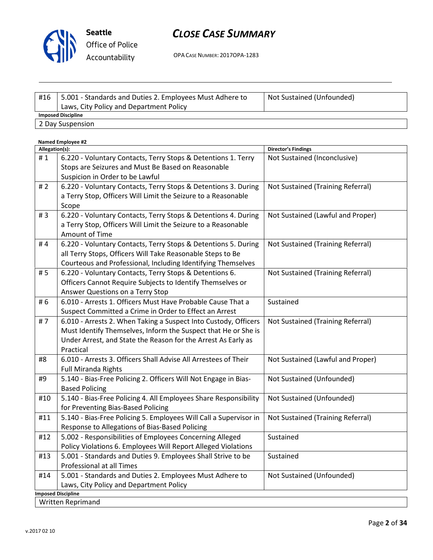

# CLOSE CASE SUMMARY

OPA CASE NUMBER: 2017OPA-1283

| #16                       | 5.001 - Standards and Duties 2. Employees Must Adhere to | Not Sustained (Unfounded) |
|---------------------------|----------------------------------------------------------|---------------------------|
|                           | Laws, City Policy and Department Policy                  |                           |
| <b>Imposed Discipline</b> |                                                          |                           |
| 2 Day Suspension          |                                                          |                           |

| <b>Named Employee #2</b>  |                                                                   |                                   |  |  |
|---------------------------|-------------------------------------------------------------------|-----------------------------------|--|--|
| Allegation(s):            |                                                                   | <b>Director's Findings</b>        |  |  |
| #1                        | 6.220 - Voluntary Contacts, Terry Stops & Detentions 1. Terry     | Not Sustained (Inconclusive)      |  |  |
|                           | Stops are Seizures and Must Be Based on Reasonable                |                                   |  |  |
|                           | Suspicion in Order to be Lawful                                   |                                   |  |  |
| #2                        | 6.220 - Voluntary Contacts, Terry Stops & Detentions 3. During    | Not Sustained (Training Referral) |  |  |
|                           | a Terry Stop, Officers Will Limit the Seizure to a Reasonable     |                                   |  |  |
|                           | Scope                                                             |                                   |  |  |
| #3                        | 6.220 - Voluntary Contacts, Terry Stops & Detentions 4. During    | Not Sustained (Lawful and Proper) |  |  |
|                           | a Terry Stop, Officers Will Limit the Seizure to a Reasonable     |                                   |  |  |
|                           | Amount of Time                                                    |                                   |  |  |
| #4                        | 6.220 - Voluntary Contacts, Terry Stops & Detentions 5. During    | Not Sustained (Training Referral) |  |  |
|                           | all Terry Stops, Officers Will Take Reasonable Steps to Be        |                                   |  |  |
|                           | Courteous and Professional, Including Identifying Themselves      |                                   |  |  |
| #5                        | 6.220 - Voluntary Contacts, Terry Stops & Detentions 6.           | Not Sustained (Training Referral) |  |  |
|                           | Officers Cannot Require Subjects to Identify Themselves or        |                                   |  |  |
|                           | Answer Questions on a Terry Stop                                  |                                   |  |  |
| #6                        | 6.010 - Arrests 1. Officers Must Have Probable Cause That a       | Sustained                         |  |  |
|                           | Suspect Committed a Crime in Order to Effect an Arrest            |                                   |  |  |
| #7                        | 6.010 - Arrests 2. When Taking a Suspect Into Custody, Officers   | Not Sustained (Training Referral) |  |  |
|                           | Must Identify Themselves, Inform the Suspect that He or She is    |                                   |  |  |
|                           | Under Arrest, and State the Reason for the Arrest As Early as     |                                   |  |  |
|                           | Practical                                                         |                                   |  |  |
| #8                        | 6.010 - Arrests 3. Officers Shall Advise All Arrestees of Their   | Not Sustained (Lawful and Proper) |  |  |
|                           | <b>Full Miranda Rights</b>                                        |                                   |  |  |
| #9                        | 5.140 - Bias-Free Policing 2. Officers Will Not Engage in Bias-   | Not Sustained (Unfounded)         |  |  |
|                           | <b>Based Policing</b>                                             |                                   |  |  |
| #10                       | 5.140 - Bias-Free Policing 4. All Employees Share Responsibility  | Not Sustained (Unfounded)         |  |  |
|                           | for Preventing Bias-Based Policing                                |                                   |  |  |
| #11                       | 5.140 - Bias-Free Policing 5. Employees Will Call a Supervisor in | Not Sustained (Training Referral) |  |  |
|                           | Response to Allegations of Bias-Based Policing                    |                                   |  |  |
| #12                       | 5.002 - Responsibilities of Employees Concerning Alleged          | Sustained                         |  |  |
|                           | Policy Violations 6. Employees Will Report Alleged Violations     |                                   |  |  |
| #13                       | 5.001 - Standards and Duties 9. Employees Shall Strive to be      | Sustained                         |  |  |
|                           | Professional at all Times                                         |                                   |  |  |
| #14                       | 5.001 - Standards and Duties 2. Employees Must Adhere to          | Not Sustained (Unfounded)         |  |  |
|                           | Laws, City Policy and Department Policy                           |                                   |  |  |
| <b>Imposed Discipline</b> |                                                                   |                                   |  |  |
| Written Reprimand         |                                                                   |                                   |  |  |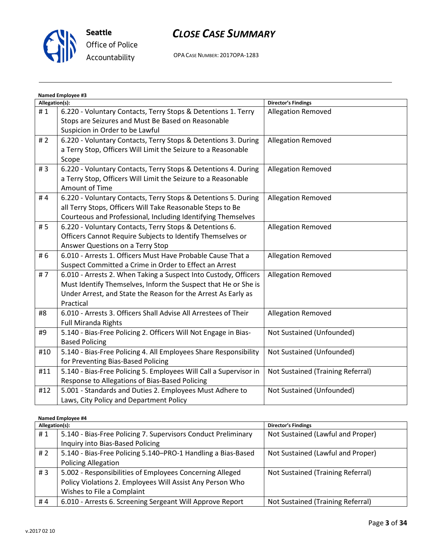

# CLOSE CASE SUMMARY

OPA CASE NUMBER: 2017OPA-1283

| Named Employee #3 |                                                                   |                                   |  |
|-------------------|-------------------------------------------------------------------|-----------------------------------|--|
| Allegation(s):    |                                                                   | <b>Director's Findings</b>        |  |
| #1                | 6.220 - Voluntary Contacts, Terry Stops & Detentions 1. Terry     | <b>Allegation Removed</b>         |  |
|                   | Stops are Seizures and Must Be Based on Reasonable                |                                   |  |
|                   | Suspicion in Order to be Lawful                                   |                                   |  |
| #2                | 6.220 - Voluntary Contacts, Terry Stops & Detentions 3. During    | Allegation Removed                |  |
|                   | a Terry Stop, Officers Will Limit the Seizure to a Reasonable     |                                   |  |
|                   | Scope                                                             |                                   |  |
| #3                | 6.220 - Voluntary Contacts, Terry Stops & Detentions 4. During    | <b>Allegation Removed</b>         |  |
|                   | a Terry Stop, Officers Will Limit the Seizure to a Reasonable     |                                   |  |
|                   | Amount of Time                                                    |                                   |  |
| #4                | 6.220 - Voluntary Contacts, Terry Stops & Detentions 5. During    | Allegation Removed                |  |
|                   | all Terry Stops, Officers Will Take Reasonable Steps to Be        |                                   |  |
|                   | Courteous and Professional, Including Identifying Themselves      |                                   |  |
| # 5               | 6.220 - Voluntary Contacts, Terry Stops & Detentions 6.           | <b>Allegation Removed</b>         |  |
|                   | Officers Cannot Require Subjects to Identify Themselves or        |                                   |  |
|                   | Answer Questions on a Terry Stop                                  |                                   |  |
| #6                | 6.010 - Arrests 1. Officers Must Have Probable Cause That a       | <b>Allegation Removed</b>         |  |
|                   | Suspect Committed a Crime in Order to Effect an Arrest            |                                   |  |
| #7                | 6.010 - Arrests 2. When Taking a Suspect Into Custody, Officers   | <b>Allegation Removed</b>         |  |
|                   | Must Identify Themselves, Inform the Suspect that He or She is    |                                   |  |
|                   | Under Arrest, and State the Reason for the Arrest As Early as     |                                   |  |
|                   | Practical                                                         |                                   |  |
| #8                | 6.010 - Arrests 3. Officers Shall Advise All Arrestees of Their   | <b>Allegation Removed</b>         |  |
|                   | <b>Full Miranda Rights</b>                                        |                                   |  |
| #9                | 5.140 - Bias-Free Policing 2. Officers Will Not Engage in Bias-   | Not Sustained (Unfounded)         |  |
|                   | <b>Based Policing</b>                                             |                                   |  |
| #10               | 5.140 - Bias-Free Policing 4. All Employees Share Responsibility  | Not Sustained (Unfounded)         |  |
|                   | for Preventing Bias-Based Policing                                |                                   |  |
| #11               | 5.140 - Bias-Free Policing 5. Employees Will Call a Supervisor in | Not Sustained (Training Referral) |  |
|                   | Response to Allegations of Bias-Based Policing                    |                                   |  |
| #12               | 5.001 - Standards and Duties 2. Employees Must Adhere to          | Not Sustained (Unfounded)         |  |
|                   | Laws, City Policy and Department Policy                           |                                   |  |

#### Named Employee #4

| Allegation(s): |                                                               | <b>Director's Findings</b>        |
|----------------|---------------------------------------------------------------|-----------------------------------|
| #1             | 5.140 - Bias-Free Policing 7. Supervisors Conduct Preliminary | Not Sustained (Lawful and Proper) |
|                | Inquiry into Bias-Based Policing                              |                                   |
| # $2$          | 5.140 - Bias-Free Policing 5.140–PRO-1 Handling a Bias-Based  | Not Sustained (Lawful and Proper) |
|                | <b>Policing Allegation</b>                                    |                                   |
| #3             | 5.002 - Responsibilities of Employees Concerning Alleged      | Not Sustained (Training Referral) |
|                | Policy Violations 2. Employees Will Assist Any Person Who     |                                   |
|                | Wishes to File a Complaint                                    |                                   |
| #4             | 6.010 - Arrests 6. Screening Sergeant Will Approve Report     | Not Sustained (Training Referral) |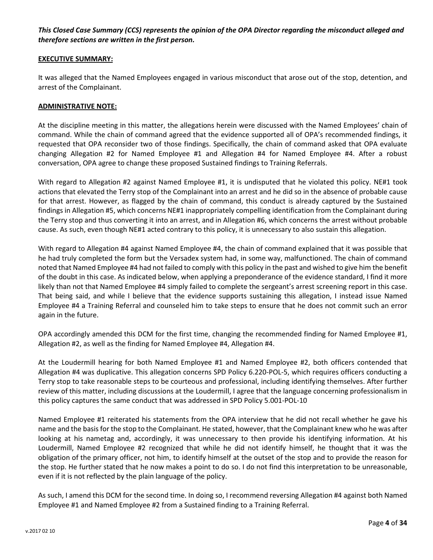## This Closed Case Summary (CCS) represents the opinion of the OPA Director regarding the misconduct alleged and therefore sections are written in the first person.

#### EXECUTIVE SUMMARY:

It was alleged that the Named Employees engaged in various misconduct that arose out of the stop, detention, and arrest of the Complainant.

#### ADMINISTRATIVE NOTE:

At the discipline meeting in this matter, the allegations herein were discussed with the Named Employees' chain of command. While the chain of command agreed that the evidence supported all of OPA's recommended findings, it requested that OPA reconsider two of those findings. Specifically, the chain of command asked that OPA evaluate changing Allegation #2 for Named Employee #1 and Allegation #4 for Named Employee #4. After a robust conversation, OPA agree to change these proposed Sustained findings to Training Referrals.

With regard to Allegation #2 against Named Employee #1, it is undisputed that he violated this policy. NE#1 took actions that elevated the Terry stop of the Complainant into an arrest and he did so in the absence of probable cause for that arrest. However, as flagged by the chain of command, this conduct is already captured by the Sustained findings in Allegation #5, which concerns NE#1 inappropriately compelling identification from the Complainant during the Terry stop and thus converting it into an arrest, and in Allegation #6, which concerns the arrest without probable cause. As such, even though NE#1 acted contrary to this policy, it is unnecessary to also sustain this allegation.

With regard to Allegation #4 against Named Employee #4, the chain of command explained that it was possible that he had truly completed the form but the Versadex system had, in some way, malfunctioned. The chain of command noted that Named Employee #4 had not failed to comply with this policy in the past and wished to give him the benefit of the doubt in this case. As indicated below, when applying a preponderance of the evidence standard, I find it more likely than not that Named Employee #4 simply failed to complete the sergeant's arrest screening report in this case. That being said, and while I believe that the evidence supports sustaining this allegation, I instead issue Named Employee #4 a Training Referral and counseled him to take steps to ensure that he does not commit such an error again in the future.

OPA accordingly amended this DCM for the first time, changing the recommended finding for Named Employee #1, Allegation #2, as well as the finding for Named Employee #4, Allegation #4.

At the Loudermill hearing for both Named Employee #1 and Named Employee #2, both officers contended that Allegation #4 was duplicative. This allegation concerns SPD Policy 6.220-POL-5, which requires officers conducting a Terry stop to take reasonable steps to be courteous and professional, including identifying themselves. After further review of this matter, including discussions at the Loudermill, I agree that the language concerning professionalism in this policy captures the same conduct that was addressed in SPD Policy 5.001-POL-10

Named Employee #1 reiterated his statements from the OPA interview that he did not recall whether he gave his name and the basis for the stop to the Complainant. He stated, however, that the Complainant knew who he was after looking at his nametag and, accordingly, it was unnecessary to then provide his identifying information. At his Loudermill, Named Employee #2 recognized that while he did not identify himself, he thought that it was the obligation of the primary officer, not him, to identify himself at the outset of the stop and to provide the reason for the stop. He further stated that he now makes a point to do so. I do not find this interpretation to be unreasonable, even if it is not reflected by the plain language of the policy.

As such, I amend this DCM for the second time. In doing so, I recommend reversing Allegation #4 against both Named Employee #1 and Named Employee #2 from a Sustained finding to a Training Referral.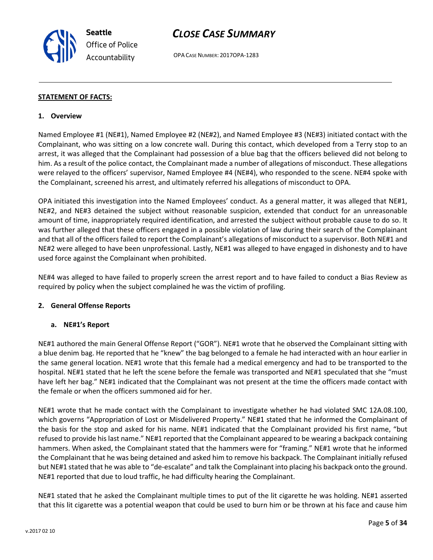## CLOSE CASE SUMMARY

OPA CASE NUMBER: 2017OPA-1283

### STATEMENT OF FACTS:

#### 1. Overview

Named Employee #1 (NE#1), Named Employee #2 (NE#2), and Named Employee #3 (NE#3) initiated contact with the Complainant, who was sitting on a low concrete wall. During this contact, which developed from a Terry stop to an arrest, it was alleged that the Complainant had possession of a blue bag that the officers believed did not belong to him. As a result of the police contact, the Complainant made a number of allegations of misconduct. These allegations were relayed to the officers' supervisor, Named Employee #4 (NE#4), who responded to the scene. NE#4 spoke with the Complainant, screened his arrest, and ultimately referred his allegations of misconduct to OPA.

OPA initiated this investigation into the Named Employees' conduct. As a general matter, it was alleged that NE#1, NE#2, and NE#3 detained the subject without reasonable suspicion, extended that conduct for an unreasonable amount of time, inappropriately required identification, and arrested the subject without probable cause to do so. It was further alleged that these officers engaged in a possible violation of law during their search of the Complainant and that all of the officers failed to report the Complainant's allegations of misconduct to a supervisor. Both NE#1 and NE#2 were alleged to have been unprofessional. Lastly, NE#1 was alleged to have engaged in dishonesty and to have used force against the Complainant when prohibited.

NE#4 was alleged to have failed to properly screen the arrest report and to have failed to conduct a Bias Review as required by policy when the subject complained he was the victim of profiling.

### 2. General Offense Reports

### a. NE#1's Report

NE#1 authored the main General Offense Report ("GOR"). NE#1 wrote that he observed the Complainant sitting with a blue denim bag. He reported that he "knew" the bag belonged to a female he had interacted with an hour earlier in the same general location. NE#1 wrote that this female had a medical emergency and had to be transported to the hospital. NE#1 stated that he left the scene before the female was transported and NE#1 speculated that she "must have left her bag." NE#1 indicated that the Complainant was not present at the time the officers made contact with the female or when the officers summoned aid for her.

NE#1 wrote that he made contact with the Complainant to investigate whether he had violated SMC 12A.08.100, which governs "Appropriation of Lost or Misdelivered Property." NE#1 stated that he informed the Complainant of the basis for the stop and asked for his name. NE#1 indicated that the Complainant provided his first name, "but refused to provide his last name." NE#1 reported that the Complainant appeared to be wearing a backpack containing hammers. When asked, the Complainant stated that the hammers were for "framing." NE#1 wrote that he informed the Complainant that he was being detained and asked him to remove his backpack. The Complainant initially refused but NE#1 stated that he was able to "de-escalate" and talk the Complainant into placing his backpack onto the ground. NE#1 reported that due to loud traffic, he had difficulty hearing the Complainant.

NE#1 stated that he asked the Complainant multiple times to put of the lit cigarette he was holding. NE#1 asserted that this lit cigarette was a potential weapon that could be used to burn him or be thrown at his face and cause him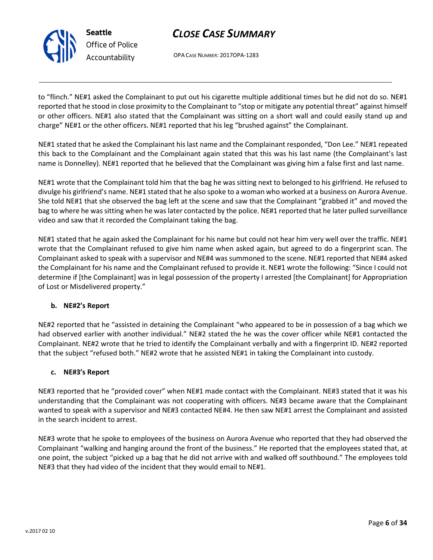

# CLOSE CASE SUMMARY

OPA CASE NUMBER: 2017OPA-1283

to "flinch." NE#1 asked the Complainant to put out his cigarette multiple additional times but he did not do so. NE#1 reported that he stood in close proximity to the Complainant to "stop or mitigate any potential threat" against himself or other officers. NE#1 also stated that the Complainant was sitting on a short wall and could easily stand up and charge" NE#1 or the other officers. NE#1 reported that his leg "brushed against" the Complainant.

NE#1 stated that he asked the Complainant his last name and the Complainant responded, "Don Lee." NE#1 repeated this back to the Complainant and the Complainant again stated that this was his last name (the Complainant's last name is Donnelley). NE#1 reported that he believed that the Complainant was giving him a false first and last name.

NE#1 wrote that the Complainant told him that the bag he was sitting next to belonged to his girlfriend. He refused to divulge his girlfriend's name. NE#1 stated that he also spoke to a woman who worked at a business on Aurora Avenue. She told NE#1 that she observed the bag left at the scene and saw that the Complainant "grabbed it" and moved the bag to where he was sitting when he was later contacted by the police. NE#1 reported that he later pulled surveillance video and saw that it recorded the Complainant taking the bag.

NE#1 stated that he again asked the Complainant for his name but could not hear him very well over the traffic. NE#1 wrote that the Complainant refused to give him name when asked again, but agreed to do a fingerprint scan. The Complainant asked to speak with a supervisor and NE#4 was summoned to the scene. NE#1 reported that NE#4 asked the Complainant for his name and the Complainant refused to provide it. NE#1 wrote the following: "Since I could not determine if [the Complainant] was in legal possession of the property I arrested [the Complainant] for Appropriation of Lost or Misdelivered property."

## b. NE#2's Report

NE#2 reported that he "assisted in detaining the Complainant "who appeared to be in possession of a bag which we had observed earlier with another individual." NE#2 stated the he was the cover officer while NE#1 contacted the Complainant. NE#2 wrote that he tried to identify the Complainant verbally and with a fingerprint ID. NE#2 reported that the subject "refused both." NE#2 wrote that he assisted NE#1 in taking the Complainant into custody.

## c. NE#3's Report

NE#3 reported that he "provided cover" when NE#1 made contact with the Complainant. NE#3 stated that it was his understanding that the Complainant was not cooperating with officers. NE#3 became aware that the Complainant wanted to speak with a supervisor and NE#3 contacted NE#4. He then saw NE#1 arrest the Complainant and assisted in the search incident to arrest.

NE#3 wrote that he spoke to employees of the business on Aurora Avenue who reported that they had observed the Complainant "walking and hanging around the front of the business." He reported that the employees stated that, at one point, the subject "picked up a bag that he did not arrive with and walked off southbound." The employees told NE#3 that they had video of the incident that they would email to NE#1.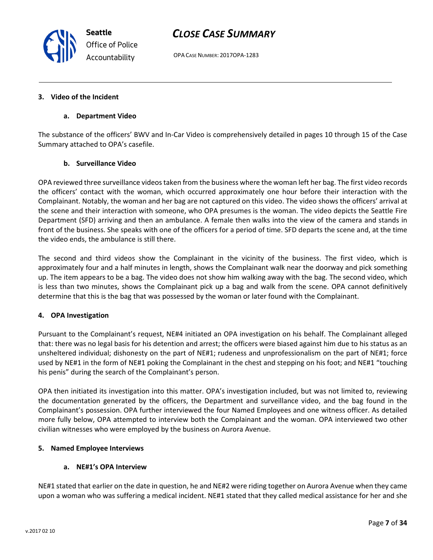OPA CASE NUMBER: 2017OPA-1283

#### 3. Video of the Incident

#### a. Department Video

The substance of the officers' BWV and In-Car Video is comprehensively detailed in pages 10 through 15 of the Case Summary attached to OPA's casefile.

### b. Surveillance Video

OPA reviewed three surveillance videos taken from the business where the woman left her bag. The first video records the officers' contact with the woman, which occurred approximately one hour before their interaction with the Complainant. Notably, the woman and her bag are not captured on this video. The video shows the officers' arrival at the scene and their interaction with someone, who OPA presumes is the woman. The video depicts the Seattle Fire Department (SFD) arriving and then an ambulance. A female then walks into the view of the camera and stands in front of the business. She speaks with one of the officers for a period of time. SFD departs the scene and, at the time the video ends, the ambulance is still there.

The second and third videos show the Complainant in the vicinity of the business. The first video, which is approximately four and a half minutes in length, shows the Complainant walk near the doorway and pick something up. The item appears to be a bag. The video does not show him walking away with the bag. The second video, which is less than two minutes, shows the Complainant pick up a bag and walk from the scene. OPA cannot definitively determine that this is the bag that was possessed by the woman or later found with the Complainant.

### 4. OPA Investigation

Pursuant to the Complainant's request, NE#4 initiated an OPA investigation on his behalf. The Complainant alleged that: there was no legal basis for his detention and arrest; the officers were biased against him due to his status as an unsheltered individual; dishonesty on the part of NE#1; rudeness and unprofessionalism on the part of NE#1; force used by NE#1 in the form of NE#1 poking the Complainant in the chest and stepping on his foot; and NE#1 "touching his penis" during the search of the Complainant's person.

OPA then initiated its investigation into this matter. OPA's investigation included, but was not limited to, reviewing the documentation generated by the officers, the Department and surveillance video, and the bag found in the Complainant's possession. OPA further interviewed the four Named Employees and one witness officer. As detailed more fully below, OPA attempted to interview both the Complainant and the woman. OPA interviewed two other civilian witnesses who were employed by the business on Aurora Avenue.

### 5. Named Employee Interviews

#### a. NE#1's OPA Interview

NE#1 stated that earlier on the date in question, he and NE#2 were riding together on Aurora Avenue when they came upon a woman who was suffering a medical incident. NE#1 stated that they called medical assistance for her and she



Seattle Office of Police Accountability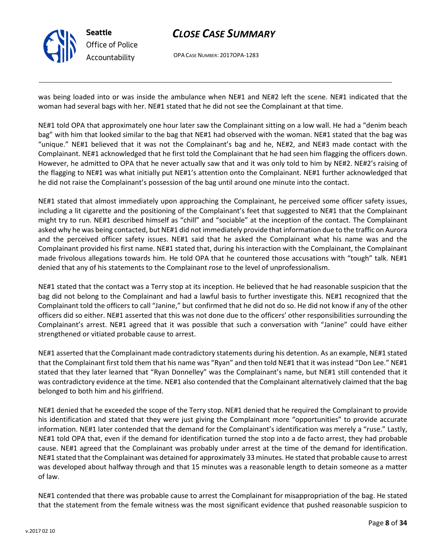

OPA CASE NUMBER: 2017OPA-1283

was being loaded into or was inside the ambulance when NE#1 and NE#2 left the scene. NE#1 indicated that the woman had several bags with her. NE#1 stated that he did not see the Complainant at that time.

NE#1 told OPA that approximately one hour later saw the Complainant sitting on a low wall. He had a "denim beach bag" with him that looked similar to the bag that NE#1 had observed with the woman. NE#1 stated that the bag was "unique." NE#1 believed that it was not the Complainant's bag and he, NE#2, and NE#3 made contact with the Complainant. NE#1 acknowledged that he first told the Complainant that he had seen him flagging the officers down. However, he admitted to OPA that he never actually saw that and it was only told to him by NE#2. NE#2's raising of the flagging to NE#1 was what initially put NE#1's attention onto the Complainant. NE#1 further acknowledged that he did not raise the Complainant's possession of the bag until around one minute into the contact.

NE#1 stated that almost immediately upon approaching the Complainant, he perceived some officer safety issues, including a lit cigarette and the positioning of the Complainant's feet that suggested to NE#1 that the Complainant might try to run. NE#1 described himself as "chill" and "sociable" at the inception of the contact. The Complainant asked why he was being contacted, but NE#1 did not immediately provide that information due to the traffic on Aurora and the perceived officer safety issues. NE#1 said that he asked the Complainant what his name was and the Complainant provided his first name. NE#1 stated that, during his interaction with the Complainant, the Complainant made frivolous allegations towards him. He told OPA that he countered those accusations with "tough" talk. NE#1 denied that any of his statements to the Complainant rose to the level of unprofessionalism.

NE#1 stated that the contact was a Terry stop at its inception. He believed that he had reasonable suspicion that the bag did not belong to the Complainant and had a lawful basis to further investigate this. NE#1 recognized that the Complainant told the officers to call "Janine," but confirmed that he did not do so. He did not know if any of the other officers did so either. NE#1 asserted that this was not done due to the officers' other responsibilities surrounding the Complainant's arrest. NE#1 agreed that it was possible that such a conversation with "Janine" could have either strengthened or vitiated probable cause to arrest.

NE#1 asserted that the Complainant made contradictory statements during his detention. As an example, NE#1 stated that the Complainant first told them that his name was "Ryan" and then told NE#1 that it was instead "Don Lee." NE#1 stated that they later learned that "Ryan Donnelley" was the Complainant's name, but NE#1 still contended that it was contradictory evidence at the time. NE#1 also contended that the Complainant alternatively claimed that the bag belonged to both him and his girlfriend.

NE#1 denied that he exceeded the scope of the Terry stop. NE#1 denied that he required the Complainant to provide his identification and stated that they were just giving the Complainant more "opportunities" to provide accurate information. NE#1 later contended that the demand for the Complainant's identification was merely a "ruse." Lastly, NE#1 told OPA that, even if the demand for identification turned the stop into a de facto arrest, they had probable cause. NE#1 agreed that the Complainant was probably under arrest at the time of the demand for identification. NE#1 stated that the Complainant was detained for approximately 33 minutes. He stated that probable cause to arrest was developed about halfway through and that 15 minutes was a reasonable length to detain someone as a matter of law.

NE#1 contended that there was probable cause to arrest the Complainant for misappropriation of the bag. He stated that the statement from the female witness was the most significant evidence that pushed reasonable suspicion to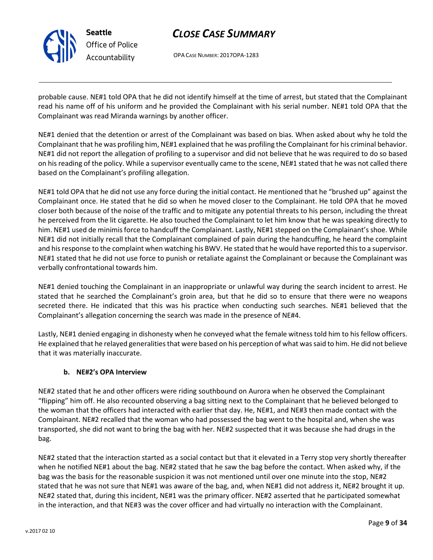

OPA CASE NUMBER: 2017OPA-1283

probable cause. NE#1 told OPA that he did not identify himself at the time of arrest, but stated that the Complainant read his name off of his uniform and he provided the Complainant with his serial number. NE#1 told OPA that the Complainant was read Miranda warnings by another officer.

NE#1 denied that the detention or arrest of the Complainant was based on bias. When asked about why he told the Complainant that he was profiling him, NE#1 explained that he was profiling the Complainant for his criminal behavior. NE#1 did not report the allegation of profiling to a supervisor and did not believe that he was required to do so based on his reading of the policy. While a supervisor eventually came to the scene, NE#1 stated that he was not called there based on the Complainant's profiling allegation.

NE#1 told OPA that he did not use any force during the initial contact. He mentioned that he "brushed up" against the Complainant once. He stated that he did so when he moved closer to the Complainant. He told OPA that he moved closer both because of the noise of the traffic and to mitigate any potential threats to his person, including the threat he perceived from the lit cigarette. He also touched the Complainant to let him know that he was speaking directly to him. NE#1 used de minimis force to handcuff the Complainant. Lastly, NE#1 stepped on the Complainant's shoe. While NE#1 did not initially recall that the Complainant complained of pain during the handcuffing, he heard the complaint and his response to the complaint when watching his BWV. He stated that he would have reported this to a supervisor. NE#1 stated that he did not use force to punish or retaliate against the Complainant or because the Complainant was verbally confrontational towards him.

NE#1 denied touching the Complainant in an inappropriate or unlawful way during the search incident to arrest. He stated that he searched the Complainant's groin area, but that he did so to ensure that there were no weapons secreted there. He indicated that this was his practice when conducting such searches. NE#1 believed that the Complainant's allegation concerning the search was made in the presence of NE#4.

Lastly, NE#1 denied engaging in dishonesty when he conveyed what the female witness told him to his fellow officers. He explained that he relayed generalities that were based on his perception of what was said to him. He did not believe that it was materially inaccurate.

## b. NE#2's OPA Interview

NE#2 stated that he and other officers were riding southbound on Aurora when he observed the Complainant "flipping" him off. He also recounted observing a bag sitting next to the Complainant that he believed belonged to the woman that the officers had interacted with earlier that day. He, NE#1, and NE#3 then made contact with the Complainant. NE#2 recalled that the woman who had possessed the bag went to the hospital and, when she was transported, she did not want to bring the bag with her. NE#2 suspected that it was because she had drugs in the bag.

NE#2 stated that the interaction started as a social contact but that it elevated in a Terry stop very shortly thereafter when he notified NE#1 about the bag. NE#2 stated that he saw the bag before the contact. When asked why, if the bag was the basis for the reasonable suspicion it was not mentioned until over one minute into the stop, NE#2 stated that he was not sure that NE#1 was aware of the bag, and, when NE#1 did not address it, NE#2 brought it up. NE#2 stated that, during this incident, NE#1 was the primary officer. NE#2 asserted that he participated somewhat in the interaction, and that NE#3 was the cover officer and had virtually no interaction with the Complainant.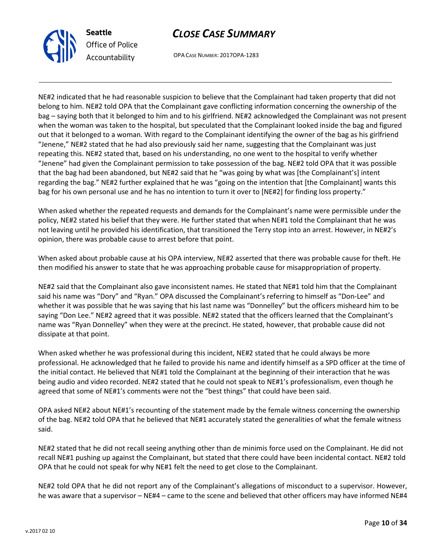

OPA CASE NUMBER: 2017OPA-1283

NE#2 indicated that he had reasonable suspicion to believe that the Complainant had taken property that did not belong to him. NE#2 told OPA that the Complainant gave conflicting information concerning the ownership of the bag – saying both that it belonged to him and to his girlfriend. NE#2 acknowledged the Complainant was not present when the woman was taken to the hospital, but speculated that the Complainant looked inside the bag and figured out that it belonged to a woman. With regard to the Complainant identifying the owner of the bag as his girlfriend "Jenene," NE#2 stated that he had also previously said her name, suggesting that the Complainant was just repeating this. NE#2 stated that, based on his understanding, no one went to the hospital to verify whether "Jenene" had given the Complainant permission to take possession of the bag. NE#2 told OPA that it was possible that the bag had been abandoned, but NE#2 said that he "was going by what was [the Complainant's] intent regarding the bag." NE#2 further explained that he was "going on the intention that [the Complainant] wants this bag for his own personal use and he has no intention to turn it over to [NE#2] for finding loss property."

When asked whether the repeated requests and demands for the Complainant's name were permissible under the policy, NE#2 stated his belief that they were. He further stated that when NE#1 told the Complainant that he was not leaving until he provided his identification, that transitioned the Terry stop into an arrest. However, in NE#2's opinion, there was probable cause to arrest before that point.

When asked about probable cause at his OPA interview, NE#2 asserted that there was probable cause for theft. He then modified his answer to state that he was approaching probable cause for misappropriation of property.

NE#2 said that the Complainant also gave inconsistent names. He stated that NE#1 told him that the Complainant said his name was "Dory" and "Ryan." OPA discussed the Complainant's referring to himself as "Don-Lee" and whether it was possible that he was saying that his last name was "Donnelley" but the officers misheard him to be saying "Don Lee." NE#2 agreed that it was possible. NE#2 stated that the officers learned that the Complainant's name was "Ryan Donnelley" when they were at the precinct. He stated, however, that probable cause did not dissipate at that point.

When asked whether he was professional during this incident, NE#2 stated that he could always be more professional. He acknowledged that he failed to provide his name and identify himself as a SPD officer at the time of the initial contact. He believed that NE#1 told the Complainant at the beginning of their interaction that he was being audio and video recorded. NE#2 stated that he could not speak to NE#1's professionalism, even though he agreed that some of NE#1's comments were not the "best things" that could have been said.

OPA asked NE#2 about NE#1's recounting of the statement made by the female witness concerning the ownership of the bag. NE#2 told OPA that he believed that NE#1 accurately stated the generalities of what the female witness said.

NE#2 stated that he did not recall seeing anything other than de minimis force used on the Complainant. He did not recall NE#1 pushing up against the Complainant, but stated that there could have been incidental contact. NE#2 told OPA that he could not speak for why NE#1 felt the need to get close to the Complainant.

NE#2 told OPA that he did not report any of the Complainant's allegations of misconduct to a supervisor. However, he was aware that a supervisor – NE#4 – came to the scene and believed that other officers may have informed NE#4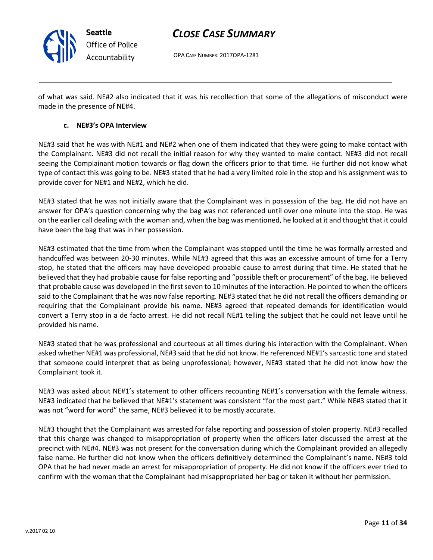

OPA CASE NUMBER: 2017OPA-1283

of what was said. NE#2 also indicated that it was his recollection that some of the allegations of misconduct were made in the presence of NE#4.

### c. NE#3's OPA Interview

NE#3 said that he was with NE#1 and NE#2 when one of them indicated that they were going to make contact with the Complainant. NE#3 did not recall the initial reason for why they wanted to make contact. NE#3 did not recall seeing the Complainant motion towards or flag down the officers prior to that time. He further did not know what type of contact this was going to be. NE#3 stated that he had a very limited role in the stop and his assignment was to provide cover for NE#1 and NE#2, which he did.

NE#3 stated that he was not initially aware that the Complainant was in possession of the bag. He did not have an answer for OPA's question concerning why the bag was not referenced until over one minute into the stop. He was on the earlier call dealing with the woman and, when the bag was mentioned, he looked at it and thought that it could have been the bag that was in her possession.

NE#3 estimated that the time from when the Complainant was stopped until the time he was formally arrested and handcuffed was between 20-30 minutes. While NE#3 agreed that this was an excessive amount of time for a Terry stop, he stated that the officers may have developed probable cause to arrest during that time. He stated that he believed that they had probable cause for false reporting and "possible theft or procurement" of the bag. He believed that probable cause was developed in the first seven to 10 minutes of the interaction. He pointed to when the officers said to the Complainant that he was now false reporting. NE#3 stated that he did not recall the officers demanding or requiring that the Complainant provide his name. NE#3 agreed that repeated demands for identification would convert a Terry stop in a de facto arrest. He did not recall NE#1 telling the subject that he could not leave until he provided his name.

NE#3 stated that he was professional and courteous at all times during his interaction with the Complainant. When asked whether NE#1 was professional, NE#3 said that he did not know. He referenced NE#1's sarcastic tone and stated that someone could interpret that as being unprofessional; however, NE#3 stated that he did not know how the Complainant took it.

NE#3 was asked about NE#1's statement to other officers recounting NE#1's conversation with the female witness. NE#3 indicated that he believed that NE#1's statement was consistent "for the most part." While NE#3 stated that it was not "word for word" the same, NE#3 believed it to be mostly accurate.

NE#3 thought that the Complainant was arrested for false reporting and possession of stolen property. NE#3 recalled that this charge was changed to misappropriation of property when the officers later discussed the arrest at the precinct with NE#4. NE#3 was not present for the conversation during which the Complainant provided an allegedly false name. He further did not know when the officers definitively determined the Complainant's name. NE#3 told OPA that he had never made an arrest for misappropriation of property. He did not know if the officers ever tried to confirm with the woman that the Complainant had misappropriated her bag or taken it without her permission.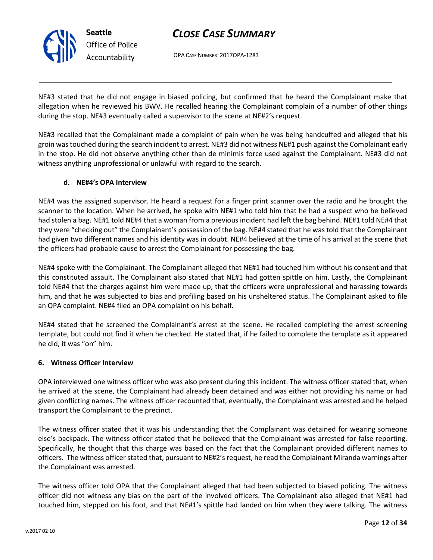

OPA CASE NUMBER: 2017OPA-1283

NE#3 stated that he did not engage in biased policing, but confirmed that he heard the Complainant make that allegation when he reviewed his BWV. He recalled hearing the Complainant complain of a number of other things during the stop. NE#3 eventually called a supervisor to the scene at NE#2's request.

NE#3 recalled that the Complainant made a complaint of pain when he was being handcuffed and alleged that his groin was touched during the search incident to arrest. NE#3 did not witness NE#1 push against the Complainant early in the stop. He did not observe anything other than de minimis force used against the Complainant. NE#3 did not witness anything unprofessional or unlawful with regard to the search.

## d. NE#4's OPA Interview

NE#4 was the assigned supervisor. He heard a request for a finger print scanner over the radio and he brought the scanner to the location. When he arrived, he spoke with NE#1 who told him that he had a suspect who he believed had stolen a bag. NE#1 told NE#4 that a woman from a previous incident had left the bag behind. NE#1 told NE#4 that they were "checking out" the Complainant's possession of the bag. NE#4 stated that he was told that the Complainant had given two different names and his identity was in doubt. NE#4 believed at the time of his arrival at the scene that the officers had probable cause to arrest the Complainant for possessing the bag.

NE#4 spoke with the Complainant. The Complainant alleged that NE#1 had touched him without his consent and that this constituted assault. The Complainant also stated that NE#1 had gotten spittle on him. Lastly, the Complainant told NE#4 that the charges against him were made up, that the officers were unprofessional and harassing towards him, and that he was subjected to bias and profiling based on his unsheltered status. The Complainant asked to file an OPA complaint. NE#4 filed an OPA complaint on his behalf.

NE#4 stated that he screened the Complainant's arrest at the scene. He recalled completing the arrest screening template, but could not find it when he checked. He stated that, if he failed to complete the template as it appeared he did, it was "on" him.

### 6. Witness Officer Interview

OPA interviewed one witness officer who was also present during this incident. The witness officer stated that, when he arrived at the scene, the Complainant had already been detained and was either not providing his name or had given conflicting names. The witness officer recounted that, eventually, the Complainant was arrested and he helped transport the Complainant to the precinct.

The witness officer stated that it was his understanding that the Complainant was detained for wearing someone else's backpack. The witness officer stated that he believed that the Complainant was arrested for false reporting. Specifically, he thought that this charge was based on the fact that the Complainant provided different names to officers. The witness officer stated that, pursuant to NE#2's request, he read the Complainant Miranda warnings after the Complainant was arrested.

The witness officer told OPA that the Complainant alleged that had been subjected to biased policing. The witness officer did not witness any bias on the part of the involved officers. The Complainant also alleged that NE#1 had touched him, stepped on his foot, and that NE#1's spittle had landed on him when they were talking. The witness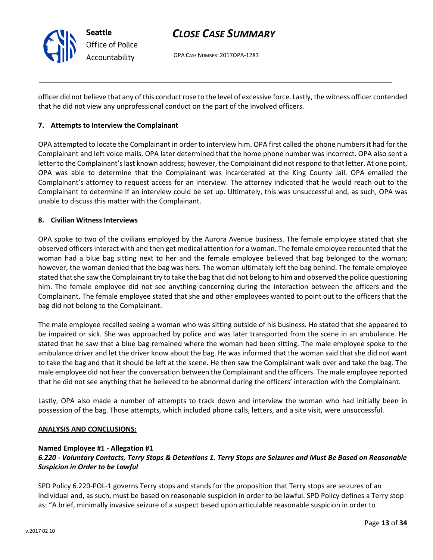

OPA CASE NUMBER: 2017OPA-1283

officer did not believe that any of this conduct rose to the level of excessive force. Lastly, the witness officer contended that he did not view any unprofessional conduct on the part of the involved officers.

### 7. Attempts to Interview the Complainant

OPA attempted to locate the Complainant in order to interview him. OPA first called the phone numbers it had for the Complainant and left voice mails. OPA later determined that the home phone number was incorrect. OPA also sent a letter to the Complainant's last known address; however, the Complainant did not respond to that letter. At one point, OPA was able to determine that the Complainant was incarcerated at the King County Jail. OPA emailed the Complainant's attorney to request access for an interview. The attorney indicated that he would reach out to the Complainant to determine if an interview could be set up. Ultimately, this was unsuccessful and, as such, OPA was unable to discuss this matter with the Complainant.

### 8. Civilian Witness Interviews

OPA spoke to two of the civilians employed by the Aurora Avenue business. The female employee stated that she observed officers interact with and then get medical attention for a woman. The female employee recounted that the woman had a blue bag sitting next to her and the female employee believed that bag belonged to the woman; however, the woman denied that the bag was hers. The woman ultimately left the bag behind. The female employee stated that she saw the Complainant try to take the bag that did not belong to him and observed the police questioning him. The female employee did not see anything concerning during the interaction between the officers and the Complainant. The female employee stated that she and other employees wanted to point out to the officers that the bag did not belong to the Complainant.

The male employee recalled seeing a woman who was sitting outside of his business. He stated that she appeared to be impaired or sick. She was approached by police and was later transported from the scene in an ambulance. He stated that he saw that a blue bag remained where the woman had been sitting. The male employee spoke to the ambulance driver and let the driver know about the bag. He was informed that the woman said that she did not want to take the bag and that it should be left at the scene. He then saw the Complainant walk over and take the bag. The male employee did not hear the conversation between the Complainant and the officers. The male employee reported that he did not see anything that he believed to be abnormal during the officers' interaction with the Complainant.

Lastly, OPA also made a number of attempts to track down and interview the woman who had initially been in possession of the bag. Those attempts, which included phone calls, letters, and a site visit, were unsuccessful.

### ANALYSIS AND CONCLUSIONS:

### Named Employee #1 - Allegation #1

## 6.220 - Voluntary Contacts, Terry Stops & Detentions 1. Terry Stops are Seizures and Must Be Based on Reasonable Suspicion in Order to be Lawful

SPD Policy 6.220-POL-1 governs Terry stops and stands for the proposition that Terry stops are seizures of an individual and, as such, must be based on reasonable suspicion in order to be lawful. SPD Policy defines a Terry stop as: "A brief, minimally invasive seizure of a suspect based upon articulable reasonable suspicion in order to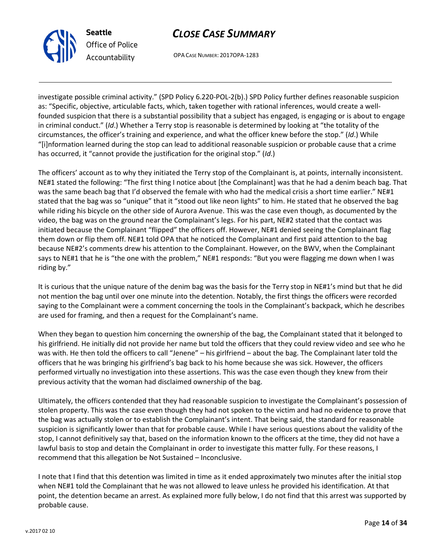

Office of Police Accountability

Seattle

OPA CASE NUMBER: 2017OPA-1283

investigate possible criminal activity." (SPD Policy 6.220-POL-2(b).) SPD Policy further defines reasonable suspicion as: "Specific, objective, articulable facts, which, taken together with rational inferences, would create a wellfounded suspicion that there is a substantial possibility that a subject has engaged, is engaging or is about to engage in criminal conduct." (Id.) Whether a Terry stop is reasonable is determined by looking at "the totality of the circumstances, the officer's training and experience, and what the officer knew before the stop." (Id.) While "[i]nformation learned during the stop can lead to additional reasonable suspicion or probable cause that a crime has occurred, it "cannot provide the justification for the original stop." (Id.)

The officers' account as to why they initiated the Terry stop of the Complainant is, at points, internally inconsistent. NE#1 stated the following: "The first thing I notice about [the Complainant] was that he had a denim beach bag. That was the same beach bag that I'd observed the female with who had the medical crisis a short time earlier." NE#1 stated that the bag was so "unique" that it "stood out like neon lights" to him. He stated that he observed the bag while riding his bicycle on the other side of Aurora Avenue. This was the case even though, as documented by the video, the bag was on the ground near the Complainant's legs. For his part, NE#2 stated that the contact was initiated because the Complainant "flipped" the officers off. However, NE#1 denied seeing the Complainant flag them down or flip them off. NE#1 told OPA that he noticed the Complainant and first paid attention to the bag because NE#2's comments drew his attention to the Complainant. However, on the BWV, when the Complainant says to NE#1 that he is "the one with the problem," NE#1 responds: "But you were flagging me down when I was riding by."

It is curious that the unique nature of the denim bag was the basis for the Terry stop in NE#1's mind but that he did not mention the bag until over one minute into the detention. Notably, the first things the officers were recorded saying to the Complainant were a comment concerning the tools in the Complainant's backpack, which he describes are used for framing, and then a request for the Complainant's name.

When they began to question him concerning the ownership of the bag, the Complainant stated that it belonged to his girlfriend. He initially did not provide her name but told the officers that they could review video and see who he was with. He then told the officers to call "Jenene" – his girlfriend – about the bag. The Complainant later told the officers that he was bringing his girlfriend's bag back to his home because she was sick. However, the officers performed virtually no investigation into these assertions. This was the case even though they knew from their previous activity that the woman had disclaimed ownership of the bag.

Ultimately, the officers contended that they had reasonable suspicion to investigate the Complainant's possession of stolen property. This was the case even though they had not spoken to the victim and had no evidence to prove that the bag was actually stolen or to establish the Complainant's intent. That being said, the standard for reasonable suspicion is significantly lower than that for probable cause. While I have serious questions about the validity of the stop, I cannot definitively say that, based on the information known to the officers at the time, they did not have a lawful basis to stop and detain the Complainant in order to investigate this matter fully. For these reasons, I recommend that this allegation be Not Sustained – Inconclusive.

I note that I find that this detention was limited in time as it ended approximately two minutes after the initial stop when NE#1 told the Complainant that he was not allowed to leave unless he provided his identification. At that point, the detention became an arrest. As explained more fully below, I do not find that this arrest was supported by probable cause.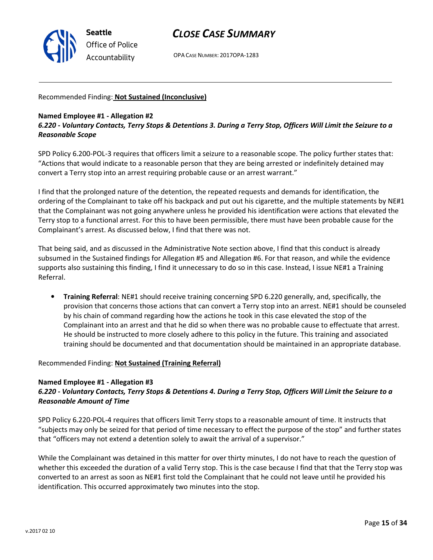

OPA CASE NUMBER: 2017OPA-1283

### Recommended Finding: Not Sustained (Inconclusive)

#### Named Employee #1 - Allegation #2

6.220 - Voluntary Contacts, Terry Stops & Detentions 3. During a Terry Stop, Officers Will Limit the Seizure to a Reasonable Scope

SPD Policy 6.200-POL-3 requires that officers limit a seizure to a reasonable scope. The policy further states that: "Actions that would indicate to a reasonable person that they are being arrested or indefinitely detained may convert a Terry stop into an arrest requiring probable cause or an arrest warrant."

I find that the prolonged nature of the detention, the repeated requests and demands for identification, the ordering of the Complainant to take off his backpack and put out his cigarette, and the multiple statements by NE#1 that the Complainant was not going anywhere unless he provided his identification were actions that elevated the Terry stop to a functional arrest. For this to have been permissible, there must have been probable cause for the Complainant's arrest. As discussed below, I find that there was not.

That being said, and as discussed in the Administrative Note section above, I find that this conduct is already subsumed in the Sustained findings for Allegation #5 and Allegation #6. For that reason, and while the evidence supports also sustaining this finding, I find it unnecessary to do so in this case. Instead, I issue NE#1 a Training Referral.

• Training Referral: NE#1 should receive training concerning SPD 6.220 generally, and, specifically, the provision that concerns those actions that can convert a Terry stop into an arrest. NE#1 should be counseled by his chain of command regarding how the actions he took in this case elevated the stop of the Complainant into an arrest and that he did so when there was no probable cause to effectuate that arrest. He should be instructed to more closely adhere to this policy in the future. This training and associated training should be documented and that documentation should be maintained in an appropriate database.

Recommended Finding: Not Sustained (Training Referral)

### Named Employee #1 - Allegation #3

## 6.220 - Voluntary Contacts, Terry Stops & Detentions 4. During a Terry Stop, Officers Will Limit the Seizure to a Reasonable Amount of Time

SPD Policy 6.220-POL-4 requires that officers limit Terry stops to a reasonable amount of time. It instructs that "subjects may only be seized for that period of time necessary to effect the purpose of the stop" and further states that "officers may not extend a detention solely to await the arrival of a supervisor."

While the Complainant was detained in this matter for over thirty minutes, I do not have to reach the question of whether this exceeded the duration of a valid Terry stop. This is the case because I find that that the Terry stop was converted to an arrest as soon as NE#1 first told the Complainant that he could not leave until he provided his identification. This occurred approximately two minutes into the stop.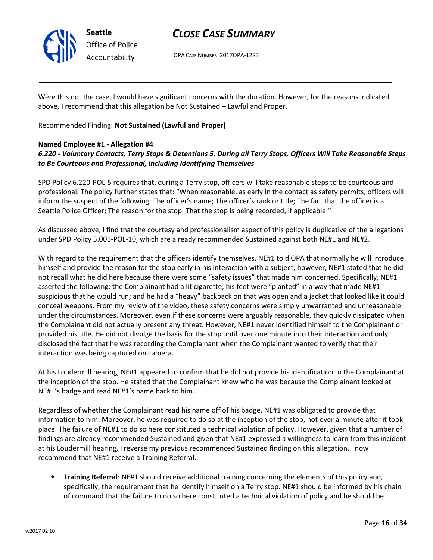

Office of Police Accountability

# CLOSE CASE SUMMARY

OPA CASE NUMBER: 2017OPA-1283

Were this not the case, I would have significant concerns with the duration. However, for the reasons indicated above, I recommend that this allegation be Not Sustained – Lawful and Proper.

Recommended Finding: Not Sustained (Lawful and Proper)

## Named Employee #1 - Allegation #4

## 6.220 - Voluntary Contacts, Terry Stops & Detentions 5. During all Terry Stops, Officers Will Take Reasonable Steps to Be Courteous and Professional, Including Identifying Themselves

SPD Policy 6.220-POL-5 requires that, during a Terry stop, officers will take reasonable steps to be courteous and professional. The policy further states that: "When reasonable, as early in the contact as safety permits, officers will inform the suspect of the following: The officer's name; The officer's rank or title; The fact that the officer is a Seattle Police Officer; The reason for the stop; That the stop is being recorded, if applicable."

As discussed above, I find that the courtesy and professionalism aspect of this policy is duplicative of the allegations under SPD Policy 5.001-POL-10, which are already recommended Sustained against both NE#1 and NE#2.

With regard to the requirement that the officers identify themselves, NE#1 told OPA that normally he will introduce himself and provide the reason for the stop early in his interaction with a subject; however, NE#1 stated that he did not recall what he did here because there were some "safety issues" that made him concerned. Specifically, NE#1 asserted the following: the Complainant had a lit cigarette; his feet were "planted" in a way that made NE#1 suspicious that he would run; and he had a "heavy" backpack on that was open and a jacket that looked like it could conceal weapons. From my review of the video, these safety concerns were simply unwarranted and unreasonable under the circumstances. Moreover, even if these concerns were arguably reasonable, they quickly dissipated when the Complainant did not actually present any threat. However, NE#1 never identified himself to the Complainant or provided his title. He did not divulge the basis for the stop until over one minute into their interaction and only disclosed the fact that he was recording the Complainant when the Complainant wanted to verify that their interaction was being captured on camera.

At his Loudermill hearing, NE#1 appeared to confirm that he did not provide his identification to the Complainant at the inception of the stop. He stated that the Complainant knew who he was because the Complainant looked at NE#1's badge and read NE#1's name back to him.

Regardless of whether the Complainant read his name off of his badge, NE#1 was obligated to provide that information to him. Moreover, he was required to do so at the inception of the stop, not over a minute after it took place. The failure of NE#1 to do so here constituted a technical violation of policy. However, given that a number of findings are already recommended Sustained and given that NE#1 expressed a willingness to learn from this incident at his Loudermill hearing, I reverse my previous recommenced Sustained finding on this allegation. I now recommend that NE#1 receive a Training Referral.

• Training Referral: NE#1 should receive additional training concerning the elements of this policy and, specifically, the requirement that he identify himself on a Terry stop. NE#1 should be informed by his chain of command that the failure to do so here constituted a technical violation of policy and he should be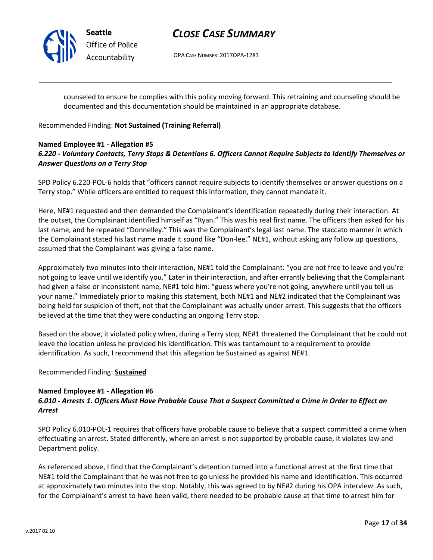

# CLOSE CASE SUMMARY

OPA CASE NUMBER: 2017OPA-1283

counseled to ensure he complies with this policy moving forward. This retraining and counseling should be documented and this documentation should be maintained in an appropriate database.

## Recommended Finding: Not Sustained (Training Referral)

## Named Employee #1 - Allegation #5 6.220 - Voluntary Contacts, Terry Stops & Detentions 6. Officers Cannot Require Subjects to Identify Themselves or Answer Questions on a Terry Stop

SPD Policy 6.220-POL-6 holds that "officers cannot require subjects to identify themselves or answer questions on a Terry stop." While officers are entitled to request this information, they cannot mandate it.

Here, NE#1 requested and then demanded the Complainant's identification repeatedly during their interaction. At the outset, the Complainant identified himself as "Ryan." This was his real first name. The officers then asked for his last name, and he repeated "Donnelley." This was the Complainant's legal last name. The staccato manner in which the Complainant stated his last name made it sound like "Don-lee." NE#1, without asking any follow up questions, assumed that the Complainant was giving a false name.

Approximately two minutes into their interaction, NE#1 told the Complainant: "you are not free to leave and you're not going to leave until we identify you." Later in their interaction, and after errantly believing that the Complainant had given a false or inconsistent name, NE#1 told him: "guess where you're not going, anywhere until you tell us your name." Immediately prior to making this statement, both NE#1 and NE#2 indicated that the Complainant was being held for suspicion of theft, not that the Complainant was actually under arrest. This suggests that the officers believed at the time that they were conducting an ongoing Terry stop.

Based on the above, it violated policy when, during a Terry stop, NE#1 threatened the Complainant that he could not leave the location unless he provided his identification. This was tantamount to a requirement to provide identification. As such, I recommend that this allegation be Sustained as against NE#1.

### Recommended Finding: Sustained

## Named Employee #1 - Allegation #6

## 6.010 - Arrests 1. Officers Must Have Probable Cause That a Suspect Committed a Crime in Order to Effect an Arrest

SPD Policy 6.010-POL-1 requires that officers have probable cause to believe that a suspect committed a crime when effectuating an arrest. Stated differently, where an arrest is not supported by probable cause, it violates law and Department policy.

As referenced above, I find that the Complainant's detention turned into a functional arrest at the first time that NE#1 told the Complainant that he was not free to go unless he provided his name and identification. This occurred at approximately two minutes into the stop. Notably, this was agreed to by NE#2 during his OPA interview. As such, for the Complainant's arrest to have been valid, there needed to be probable cause at that time to arrest him for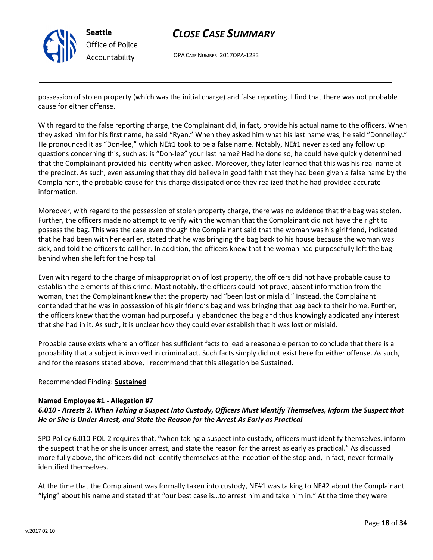

OPA CASE NUMBER: 2017OPA-1283

possession of stolen property (which was the initial charge) and false reporting. I find that there was not probable cause for either offense.

With regard to the false reporting charge, the Complainant did, in fact, provide his actual name to the officers. When they asked him for his first name, he said "Ryan." When they asked him what his last name was, he said "Donnelley." He pronounced it as "Don-lee," which NE#1 took to be a false name. Notably, NE#1 never asked any follow up questions concerning this, such as: is "Don-lee" your last name? Had he done so, he could have quickly determined that the Complainant provided his identity when asked. Moreover, they later learned that this was his real name at the precinct. As such, even assuming that they did believe in good faith that they had been given a false name by the Complainant, the probable cause for this charge dissipated once they realized that he had provided accurate information.

Moreover, with regard to the possession of stolen property charge, there was no evidence that the bag was stolen. Further, the officers made no attempt to verify with the woman that the Complainant did not have the right to possess the bag. This was the case even though the Complainant said that the woman was his girlfriend, indicated that he had been with her earlier, stated that he was bringing the bag back to his house because the woman was sick, and told the officers to call her. In addition, the officers knew that the woman had purposefully left the bag behind when she left for the hospital.

Even with regard to the charge of misappropriation of lost property, the officers did not have probable cause to establish the elements of this crime. Most notably, the officers could not prove, absent information from the woman, that the Complainant knew that the property had "been lost or mislaid." Instead, the Complainant contended that he was in possession of his girlfriend's bag and was bringing that bag back to their home. Further, the officers knew that the woman had purposefully abandoned the bag and thus knowingly abdicated any interest that she had in it. As such, it is unclear how they could ever establish that it was lost or mislaid.

Probable cause exists where an officer has sufficient facts to lead a reasonable person to conclude that there is a probability that a subject is involved in criminal act. Such facts simply did not exist here for either offense. As such, and for the reasons stated above, I recommend that this allegation be Sustained.

## Recommended Finding: Sustained

### Named Employee #1 - Allegation #7

## 6.010 - Arrests 2. When Taking a Suspect Into Custody, Officers Must Identify Themselves, Inform the Suspect that He or She is Under Arrest, and State the Reason for the Arrest As Early as Practical

SPD Policy 6.010-POL-2 requires that, "when taking a suspect into custody, officers must identify themselves, inform the suspect that he or she is under arrest, and state the reason for the arrest as early as practical." As discussed more fully above, the officers did not identify themselves at the inception of the stop and, in fact, never formally identified themselves.

At the time that the Complainant was formally taken into custody, NE#1 was talking to NE#2 about the Complainant "lying" about his name and stated that "our best case is…to arrest him and take him in." At the time they were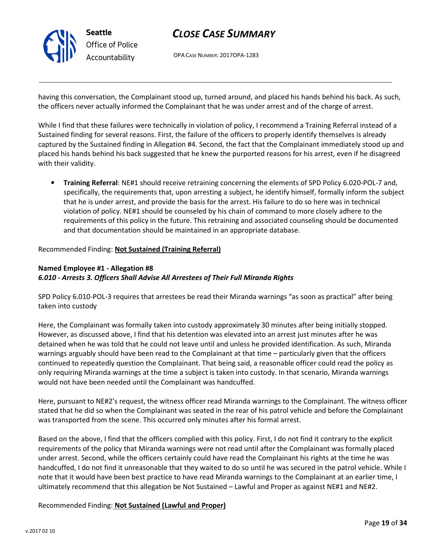

OPA CASE NUMBER: 2017OPA-1283

having this conversation, the Complainant stood up, turned around, and placed his hands behind his back. As such, the officers never actually informed the Complainant that he was under arrest and of the charge of arrest.

While I find that these failures were technically in violation of policy, I recommend a Training Referral instead of a Sustained finding for several reasons. First, the failure of the officers to properly identify themselves is already captured by the Sustained finding in Allegation #4. Second, the fact that the Complainant immediately stood up and placed his hands behind his back suggested that he knew the purported reasons for his arrest, even if he disagreed with their validity.

• Training Referral: NE#1 should receive retraining concerning the elements of SPD Policy 6.020-POL-7 and, specifically, the requirements that, upon arresting a subject, he identify himself, formally inform the subject that he is under arrest, and provide the basis for the arrest. His failure to do so here was in technical violation of policy. NE#1 should be counseled by his chain of command to more closely adhere to the requirements of this policy in the future. This retraining and associated counseling should be documented and that documentation should be maintained in an appropriate database.

Recommended Finding: Not Sustained (Training Referral)

## Named Employee #1 - Allegation #8 6.010 - Arrests 3. Officers Shall Advise All Arrestees of Their Full Miranda Rights

SPD Policy 6.010-POL-3 requires that arrestees be read their Miranda warnings "as soon as practical" after being taken into custody

Here, the Complainant was formally taken into custody approximately 30 minutes after being initially stopped. However, as discussed above, I find that his detention was elevated into an arrest just minutes after he was detained when he was told that he could not leave until and unless he provided identification. As such, Miranda warnings arguably should have been read to the Complainant at that time – particularly given that the officers continued to repeatedly question the Complainant. That being said, a reasonable officer could read the policy as only requiring Miranda warnings at the time a subject is taken into custody. In that scenario, Miranda warnings would not have been needed until the Complainant was handcuffed.

Here, pursuant to NE#2's request, the witness officer read Miranda warnings to the Complainant. The witness officer stated that he did so when the Complainant was seated in the rear of his patrol vehicle and before the Complainant was transported from the scene. This occurred only minutes after his formal arrest.

Based on the above, I find that the officers complied with this policy. First, I do not find it contrary to the explicit requirements of the policy that Miranda warnings were not read until after the Complainant was formally placed under arrest. Second, while the officers certainly could have read the Complainant his rights at the time he was handcuffed, I do not find it unreasonable that they waited to do so until he was secured in the patrol vehicle. While I note that it would have been best practice to have read Miranda warnings to the Complainant at an earlier time, I ultimately recommend that this allegation be Not Sustained – Lawful and Proper as against NE#1 and NE#2.

Recommended Finding: Not Sustained (Lawful and Proper)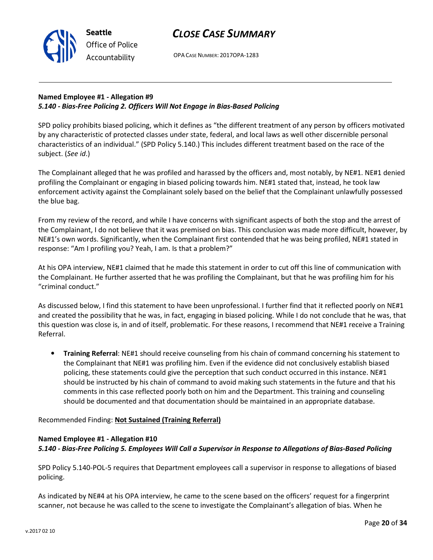OPA CASE NUMBER: 2017OPA-1283

## Named Employee #1 - Allegation #9 5.140 - Bias-Free Policing 2. Officers Will Not Engage in Bias-Based Policing

Seattle

Office of Police Accountability

SPD policy prohibits biased policing, which it defines as "the different treatment of any person by officers motivated by any characteristic of protected classes under state, federal, and local laws as well other discernible personal characteristics of an individual." (SPD Policy 5.140.) This includes different treatment based on the race of the subject. (See id.)

The Complainant alleged that he was profiled and harassed by the officers and, most notably, by NE#1. NE#1 denied profiling the Complainant or engaging in biased policing towards him. NE#1 stated that, instead, he took law enforcement activity against the Complainant solely based on the belief that the Complainant unlawfully possessed the blue bag.

From my review of the record, and while I have concerns with significant aspects of both the stop and the arrest of the Complainant, I do not believe that it was premised on bias. This conclusion was made more difficult, however, by NE#1's own words. Significantly, when the Complainant first contended that he was being profiled, NE#1 stated in response: "Am I profiling you? Yeah, I am. Is that a problem?"

At his OPA interview, NE#1 claimed that he made this statement in order to cut off this line of communication with the Complainant. He further asserted that he was profiling the Complainant, but that he was profiling him for his "criminal conduct."

As discussed below, I find this statement to have been unprofessional. I further find that it reflected poorly on NE#1 and created the possibility that he was, in fact, engaging in biased policing. While I do not conclude that he was, that this question was close is, in and of itself, problematic. For these reasons, I recommend that NE#1 receive a Training Referral.

• Training Referral: NE#1 should receive counseling from his chain of command concerning his statement to the Complainant that NE#1 was profiling him. Even if the evidence did not conclusively establish biased policing, these statements could give the perception that such conduct occurred in this instance. NE#1 should be instructed by his chain of command to avoid making such statements in the future and that his comments in this case reflected poorly both on him and the Department. This training and counseling should be documented and that documentation should be maintained in an appropriate database.

Recommended Finding: Not Sustained (Training Referral)

## Named Employee #1 - Allegation #10

## 5.140 - Bias-Free Policing 5. Employees Will Call a Supervisor in Response to Allegations of Bias-Based Policing

SPD Policy 5.140-POL-5 requires that Department employees call a supervisor in response to allegations of biased policing.

As indicated by NE#4 at his OPA interview, he came to the scene based on the officers' request for a fingerprint scanner, not because he was called to the scene to investigate the Complainant's allegation of bias. When he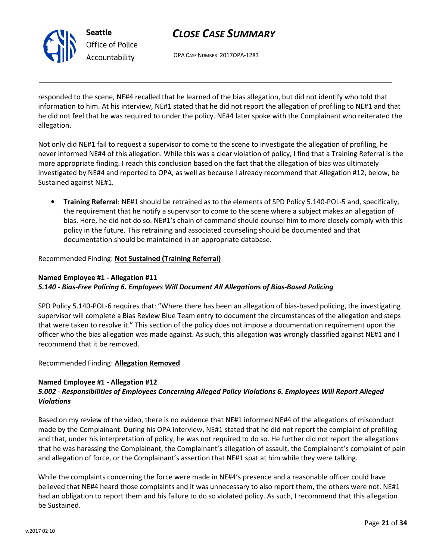

# CLOSE CASE SUMMARY

OPA CASE NUMBER: 2017OPA-1283

responded to the scene, NE#4 recalled that he learned of the bias allegation, but did not identify who told that information to him. At his interview, NE#1 stated that he did not report the allegation of profiling to NE#1 and that he did not feel that he was required to under the policy. NE#4 later spoke with the Complainant who reiterated the allegation.

Not only did NE#1 fail to request a supervisor to come to the scene to investigate the allegation of profiling, he never informed NE#4 of this allegation. While this was a clear violation of policy, I find that a Training Referral is the more appropriate finding. I reach this conclusion based on the fact that the allegation of bias was ultimately investigated by NE#4 and reported to OPA, as well as because I already recommend that Allegation #12, below, be Sustained against NE#1.

• Training Referral: NE#1 should be retrained as to the elements of SPD Policy 5.140-POL-5 and, specifically, the requirement that he notify a supervisor to come to the scene where a subject makes an allegation of bias. Here, he did not do so. NE#1's chain of command should counsel him to more closely comply with this policy in the future. This retraining and associated counseling should be documented and that documentation should be maintained in an appropriate database.

## Recommended Finding: Not Sustained (Training Referral)

## Named Employee #1 - Allegation #11 5.140 - Bias-Free Policing 6. Employees Will Document All Allegations of Bias-Based Policing

SPD Policy 5.140-POL-6 requires that: "Where there has been an allegation of bias-based policing, the investigating supervisor will complete a Bias Review Blue Team entry to document the circumstances of the allegation and steps that were taken to resolve it." This section of the policy does not impose a documentation requirement upon the officer who the bias allegation was made against. As such, this allegation was wrongly classified against NE#1 and I recommend that it be removed.

### Recommended Finding: Allegation Removed

### Named Employee #1 - Allegation #12

## 5.002 - Responsibilities of Employees Concerning Alleged Policy Violations 6. Employees Will Report Alleged Violations

Based on my review of the video, there is no evidence that NE#1 informed NE#4 of the allegations of misconduct made by the Complainant. During his OPA interview, NE#1 stated that he did not report the complaint of profiling and that, under his interpretation of policy, he was not required to do so. He further did not report the allegations that he was harassing the Complainant, the Complainant's allegation of assault, the Complainant's complaint of pain and allegation of force, or the Complainant's assertion that NE#1 spat at him while they were talking.

While the complaints concerning the force were made in NE#4's presence and a reasonable officer could have believed that NE#4 heard those complaints and it was unnecessary to also report them, the others were not. NE#1 had an obligation to report them and his failure to do so violated policy. As such, I recommend that this allegation be Sustained.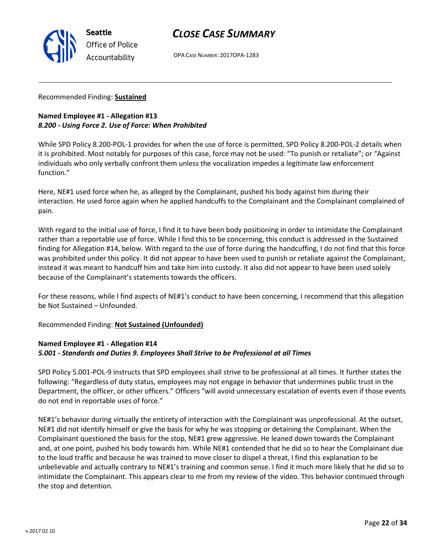

OPA CASE NUMBER: 2017OPA-1283

### Recommended Finding: Sustained

## Named Employee #1 - Allegation #13 8.200 - Using Force 2. Use of Force: When Prohibited

While SPD Policy 8.200-POL-1 provides for when the use of force is permitted, SPD Policy 8.200-POL-2 details when it is prohibited. Most notably for purposes of this case, force may not be used: "To punish or retaliate"; or "Against individuals who only verbally confront them unless the vocalization impedes a legitimate law enforcement function."

Here, NE#1 used force when he, as alleged by the Complainant, pushed his body against him during their interaction. He used force again when he applied handcuffs to the Complainant and the Complainant complained of pain.

With regard to the initial use of force, I find it to have been body positioning in order to intimidate the Complainant rather than a reportable use of force. While I find this to be concerning, this conduct is addressed in the Sustained finding for Allegation #14, below. With regard to the use of force during the handcuffing, I do not find that this force was prohibited under this policy. It did not appear to have been used to punish or retaliate against the Complainant, instead it was meant to handcuff him and take him into custody. It also did not appear to have been used solely because of the Complainant's statements towards the officers.

For these reasons, while I find aspects of NE#1's conduct to have been concerning, I recommend that this allegation be Not Sustained – Unfounded.

Recommended Finding: Not Sustained (Unfounded)

## Named Employee #1 - Allegation #14 5.001 - Standards and Duties 9. Employees Shall Strive to be Professional at all Times

SPD Policy 5.001-POL-9 instructs that SPD employees shall strive to be professional at all times. It further states the following: "Regardless of duty status, employees may not engage in behavior that undermines public trust in the Department, the officer, or other officers." Officers "will avoid unnecessary escalation of events even if those events do not end in reportable uses of force."

NE#1's behavior during virtually the entirety of interaction with the Complainant was unprofessional. At the outset, NE#1 did not identify himself or give the basis for why he was stopping or detaining the Complainant. When the Complainant questioned the basis for the stop, NE#1 grew aggressive. He leaned down towards the Complainant and, at one point, pushed his body towards him. While NE#1 contended that he did so to hear the Complainant due to the loud traffic and because he was trained to move closer to dispel a threat, I find this explanation to be unbelievable and actually contrary to NE#1's training and common sense. I find it much more likely that he did so to intimidate the Complainant. This appears clear to me from my review of the video. This behavior continued through the stop and detention.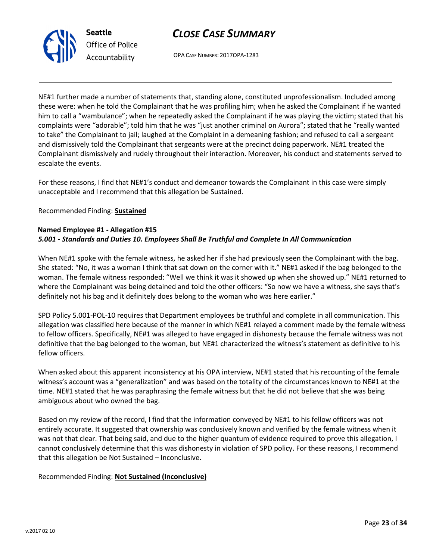



OPA CASE NUMBER: 2017OPA-1283

NE#1 further made a number of statements that, standing alone, constituted unprofessionalism. Included among these were: when he told the Complainant that he was profiling him; when he asked the Complainant if he wanted him to call a "wambulance"; when he repeatedly asked the Complainant if he was playing the victim; stated that his complaints were "adorable"; told him that he was "just another criminal on Aurora"; stated that he "really wanted to take" the Complainant to jail; laughed at the Complaint in a demeaning fashion; and refused to call a sergeant and dismissively told the Complainant that sergeants were at the precinct doing paperwork. NE#1 treated the Complainant dismissively and rudely throughout their interaction. Moreover, his conduct and statements served to escalate the events.

For these reasons, I find that NE#1's conduct and demeanor towards the Complainant in this case were simply unacceptable and I recommend that this allegation be Sustained.

Recommended Finding: Sustained

## Named Employee #1 - Allegation #15 5.001 - Standards and Duties 10. Employees Shall Be Truthful and Complete In All Communication

When NE#1 spoke with the female witness, he asked her if she had previously seen the Complainant with the bag. She stated: "No, it was a woman I think that sat down on the corner with it." NE#1 asked if the bag belonged to the woman. The female witness responded: "Well we think it was it showed up when she showed up." NE#1 returned to where the Complainant was being detained and told the other officers: "So now we have a witness, she says that's definitely not his bag and it definitely does belong to the woman who was here earlier."

SPD Policy 5.001-POL-10 requires that Department employees be truthful and complete in all communication. This allegation was classified here because of the manner in which NE#1 relayed a comment made by the female witness to fellow officers. Specifically, NE#1 was alleged to have engaged in dishonesty because the female witness was not definitive that the bag belonged to the woman, but NE#1 characterized the witness's statement as definitive to his fellow officers.

When asked about this apparent inconsistency at his OPA interview, NE#1 stated that his recounting of the female witness's account was a "generalization" and was based on the totality of the circumstances known to NE#1 at the time. NE#1 stated that he was paraphrasing the female witness but that he did not believe that she was being ambiguous about who owned the bag.

Based on my review of the record, I find that the information conveyed by NE#1 to his fellow officers was not entirely accurate. It suggested that ownership was conclusively known and verified by the female witness when it was not that clear. That being said, and due to the higher quantum of evidence required to prove this allegation, I cannot conclusively determine that this was dishonesty in violation of SPD policy. For these reasons, I recommend that this allegation be Not Sustained – Inconclusive.

Recommended Finding: Not Sustained (Inconclusive)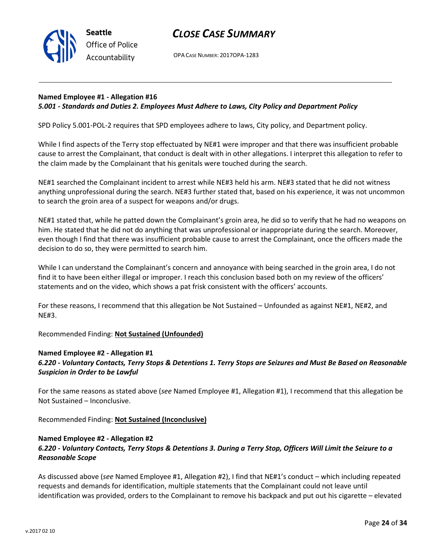

OPA CASE NUMBER: 2017OPA-1283

## Named Employee #1 - Allegation #16 5.001 - Standards and Duties 2. Employees Must Adhere to Laws, City Policy and Department Policy

SPD Policy 5.001-POL-2 requires that SPD employees adhere to laws, City policy, and Department policy.

While I find aspects of the Terry stop effectuated by NE#1 were improper and that there was insufficient probable cause to arrest the Complainant, that conduct is dealt with in other allegations. I interpret this allegation to refer to the claim made by the Complainant that his genitals were touched during the search.

NE#1 searched the Complainant incident to arrest while NE#3 held his arm. NE#3 stated that he did not witness anything unprofessional during the search. NE#3 further stated that, based on his experience, it was not uncommon to search the groin area of a suspect for weapons and/or drugs.

NE#1 stated that, while he patted down the Complainant's groin area, he did so to verify that he had no weapons on him. He stated that he did not do anything that was unprofessional or inappropriate during the search. Moreover, even though I find that there was insufficient probable cause to arrest the Complainant, once the officers made the decision to do so, they were permitted to search him.

While I can understand the Complainant's concern and annoyance with being searched in the groin area, I do not find it to have been either illegal or improper. I reach this conclusion based both on my review of the officers' statements and on the video, which shows a pat frisk consistent with the officers' accounts.

For these reasons, I recommend that this allegation be Not Sustained – Unfounded as against NE#1, NE#2, and NE#3.

Recommended Finding: Not Sustained (Unfounded)

### Named Employee #2 - Allegation #1

6.220 - Voluntary Contacts, Terry Stops & Detentions 1. Terry Stops are Seizures and Must Be Based on Reasonable Suspicion in Order to be Lawful

For the same reasons as stated above (see Named Employee #1, Allegation #1), I recommend that this allegation be Not Sustained – Inconclusive.

Recommended Finding: Not Sustained (Inconclusive)

## Named Employee #2 - Allegation #2 6.220 - Voluntary Contacts, Terry Stops & Detentions 3. During a Terry Stop, Officers Will Limit the Seizure to a Reasonable Scope

As discussed above (see Named Employee #1, Allegation #2), I find that NE#1's conduct – which including repeated requests and demands for identification, multiple statements that the Complainant could not leave until identification was provided, orders to the Complainant to remove his backpack and put out his cigarette – elevated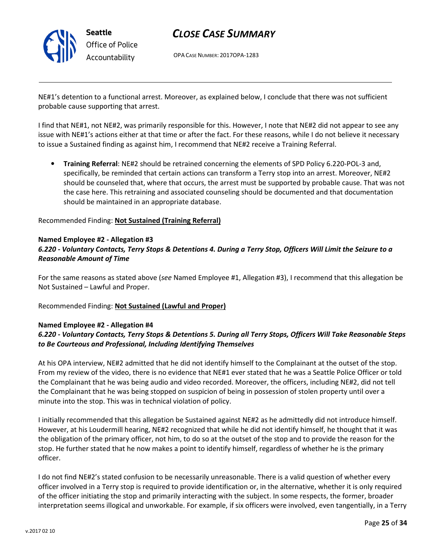

OPA CASE NUMBER: 2017OPA-1283

NE#1's detention to a functional arrest. Moreover, as explained below, I conclude that there was not sufficient probable cause supporting that arrest.

I find that NE#1, not NE#2, was primarily responsible for this. However, I note that NE#2 did not appear to see any issue with NE#1's actions either at that time or after the fact. For these reasons, while I do not believe it necessary to issue a Sustained finding as against him, I recommend that NE#2 receive a Training Referral.

• Training Referral: NE#2 should be retrained concerning the elements of SPD Policy 6.220-POL-3 and, specifically, be reminded that certain actions can transform a Terry stop into an arrest. Moreover, NE#2 should be counseled that, where that occurs, the arrest must be supported by probable cause. That was not the case here. This retraining and associated counseling should be documented and that documentation should be maintained in an appropriate database.

Recommended Finding: Not Sustained (Training Referral)

### Named Employee #2 - Allegation #3

## 6.220 - Voluntary Contacts, Terry Stops & Detentions 4. During a Terry Stop, Officers Will Limit the Seizure to a Reasonable Amount of Time

For the same reasons as stated above (see Named Employee #1, Allegation #3), I recommend that this allegation be Not Sustained – Lawful and Proper.

### Recommended Finding: Not Sustained (Lawful and Proper)

#### Named Employee #2 - Allegation #4

## 6.220 - Voluntary Contacts, Terry Stops & Detentions 5. During all Terry Stops, Officers Will Take Reasonable Steps to Be Courteous and Professional, Including Identifying Themselves

At his OPA interview, NE#2 admitted that he did not identify himself to the Complainant at the outset of the stop. From my review of the video, there is no evidence that NE#1 ever stated that he was a Seattle Police Officer or told the Complainant that he was being audio and video recorded. Moreover, the officers, including NE#2, did not tell the Complainant that he was being stopped on suspicion of being in possession of stolen property until over a minute into the stop. This was in technical violation of policy.

I initially recommended that this allegation be Sustained against NE#2 as he admittedly did not introduce himself. However, at his Loudermill hearing, NE#2 recognized that while he did not identify himself, he thought that it was the obligation of the primary officer, not him, to do so at the outset of the stop and to provide the reason for the stop. He further stated that he now makes a point to identify himself, regardless of whether he is the primary officer.

I do not find NE#2's stated confusion to be necessarily unreasonable. There is a valid question of whether every officer involved in a Terry stop is required to provide identification or, in the alternative, whether it is only required of the officer initiating the stop and primarily interacting with the subject. In some respects, the former, broader interpretation seems illogical and unworkable. For example, if six officers were involved, even tangentially, in a Terry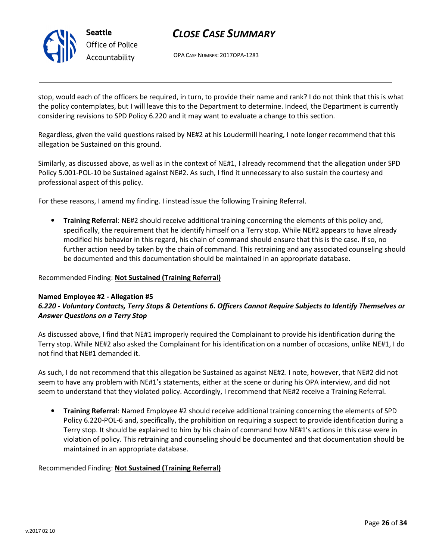

OPA CASE NUMBER: 2017OPA-1283

stop, would each of the officers be required, in turn, to provide their name and rank? I do not think that this is what the policy contemplates, but I will leave this to the Department to determine. Indeed, the Department is currently considering revisions to SPD Policy 6.220 and it may want to evaluate a change to this section.

Regardless, given the valid questions raised by NE#2 at his Loudermill hearing, I note longer recommend that this allegation be Sustained on this ground.

Similarly, as discussed above, as well as in the context of NE#1, I already recommend that the allegation under SPD Policy 5.001-POL-10 be Sustained against NE#2. As such, I find it unnecessary to also sustain the courtesy and professional aspect of this policy.

For these reasons, I amend my finding. I instead issue the following Training Referral.

• Training Referral: NE#2 should receive additional training concerning the elements of this policy and, specifically, the requirement that he identify himself on a Terry stop. While NE#2 appears to have already modified his behavior in this regard, his chain of command should ensure that this is the case. If so, no further action need by taken by the chain of command. This retraining and any associated counseling should be documented and this documentation should be maintained in an appropriate database.

### Recommended Finding: Not Sustained (Training Referral)

#### Named Employee #2 - Allegation #5

## 6.220 - Voluntary Contacts, Terry Stops & Detentions 6. Officers Cannot Require Subjects to Identify Themselves or Answer Questions on a Terry Stop

As discussed above, I find that NE#1 improperly required the Complainant to provide his identification during the Terry stop. While NE#2 also asked the Complainant for his identification on a number of occasions, unlike NE#1, I do not find that NE#1 demanded it.

As such, I do not recommend that this allegation be Sustained as against NE#2. I note, however, that NE#2 did not seem to have any problem with NE#1's statements, either at the scene or during his OPA interview, and did not seem to understand that they violated policy. Accordingly, I recommend that NE#2 receive a Training Referral.

• Training Referral: Named Employee #2 should receive additional training concerning the elements of SPD Policy 6.220-POL-6 and, specifically, the prohibition on requiring a suspect to provide identification during a Terry stop. It should be explained to him by his chain of command how NE#1's actions in this case were in violation of policy. This retraining and counseling should be documented and that documentation should be maintained in an appropriate database.

### Recommended Finding: Not Sustained (Training Referral)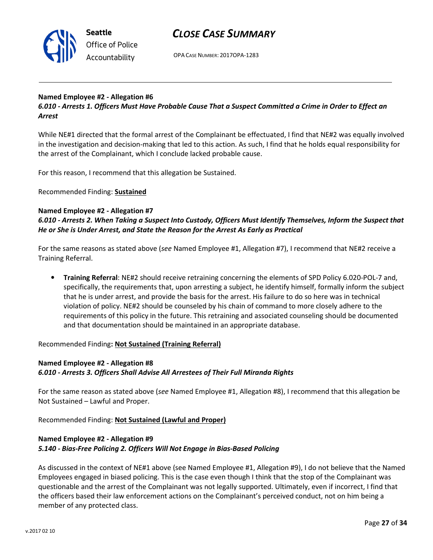

OPA CASE NUMBER: 2017OPA-1283

### Named Employee #2 - Allegation #6

6.010 - Arrests 1. Officers Must Have Probable Cause That a Suspect Committed a Crime in Order to Effect an Arrest

While NE#1 directed that the formal arrest of the Complainant be effectuated, I find that NE#2 was equally involved in the investigation and decision-making that led to this action. As such, I find that he holds equal responsibility for the arrest of the Complainant, which I conclude lacked probable cause.

For this reason, I recommend that this allegation be Sustained.

Recommended Finding: Sustained

### Named Employee #2 - Allegation #7

6.010 - Arrests 2. When Taking a Suspect Into Custody, Officers Must Identify Themselves, Inform the Suspect that He or She is Under Arrest, and State the Reason for the Arrest As Early as Practical

For the same reasons as stated above (see Named Employee #1, Allegation #7), I recommend that NE#2 receive a Training Referral.

• Training Referral: NE#2 should receive retraining concerning the elements of SPD Policy 6.020-POL-7 and, specifically, the requirements that, upon arresting a subject, he identify himself, formally inform the subject that he is under arrest, and provide the basis for the arrest. His failure to do so here was in technical violation of policy. NE#2 should be counseled by his chain of command to more closely adhere to the requirements of this policy in the future. This retraining and associated counseling should be documented and that documentation should be maintained in an appropriate database.

Recommended Finding: Not Sustained (Training Referral)

## Named Employee #2 - Allegation #8 6.010 - Arrests 3. Officers Shall Advise All Arrestees of Their Full Miranda Rights

For the same reason as stated above (see Named Employee #1, Allegation #8), I recommend that this allegation be Not Sustained – Lawful and Proper.

Recommended Finding: Not Sustained (Lawful and Proper)

## Named Employee #2 - Allegation #9 5.140 - Bias-Free Policing 2. Officers Will Not Engage in Bias-Based Policing

As discussed in the context of NE#1 above (see Named Employee #1, Allegation #9), I do not believe that the Named Employees engaged in biased policing. This is the case even though I think that the stop of the Complainant was questionable and the arrest of the Complainant was not legally supported. Ultimately, even if incorrect, I find that the officers based their law enforcement actions on the Complainant's perceived conduct, not on him being a member of any protected class.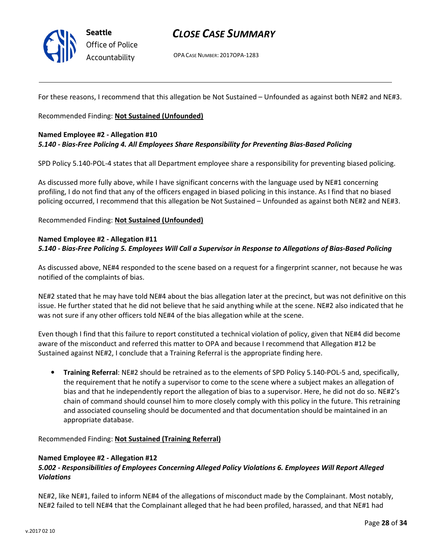

# CLOSE CASE SUMMARY

OPA CASE NUMBER: 2017OPA-1283

For these reasons, I recommend that this allegation be Not Sustained – Unfounded as against both NE#2 and NE#3.

Recommended Finding: Not Sustained (Unfounded)

#### Named Employee #2 - Allegation #10

### 5.140 - Bias-Free Policing 4. All Employees Share Responsibility for Preventing Bias-Based Policing

SPD Policy 5.140-POL-4 states that all Department employee share a responsibility for preventing biased policing.

As discussed more fully above, while I have significant concerns with the language used by NE#1 concerning profiling, I do not find that any of the officers engaged in biased policing in this instance. As I find that no biased policing occurred, I recommend that this allegation be Not Sustained – Unfounded as against both NE#2 and NE#3.

Recommended Finding: Not Sustained (Unfounded)

## Named Employee #2 - Allegation #11 5.140 - Bias-Free Policing 5. Employees Will Call a Supervisor in Response to Allegations of Bias-Based Policing

As discussed above, NE#4 responded to the scene based on a request for a fingerprint scanner, not because he was notified of the complaints of bias.

NE#2 stated that he may have told NE#4 about the bias allegation later at the precinct, but was not definitive on this issue. He further stated that he did not believe that he said anything while at the scene. NE#2 also indicated that he was not sure if any other officers told NE#4 of the bias allegation while at the scene.

Even though I find that this failure to report constituted a technical violation of policy, given that NE#4 did become aware of the misconduct and referred this matter to OPA and because I recommend that Allegation #12 be Sustained against NE#2, I conclude that a Training Referral is the appropriate finding here.

• Training Referral: NE#2 should be retrained as to the elements of SPD Policy 5.140-POL-5 and, specifically, the requirement that he notify a supervisor to come to the scene where a subject makes an allegation of bias and that he independently report the allegation of bias to a supervisor. Here, he did not do so. NE#2's chain of command should counsel him to more closely comply with this policy in the future. This retraining and associated counseling should be documented and that documentation should be maintained in an appropriate database.

Recommended Finding: Not Sustained (Training Referral)

### Named Employee #2 - Allegation #12

## 5.002 - Responsibilities of Employees Concerning Alleged Policy Violations 6. Employees Will Report Alleged Violations

NE#2, like NE#1, failed to inform NE#4 of the allegations of misconduct made by the Complainant. Most notably, NE#2 failed to tell NE#4 that the Complainant alleged that he had been profiled, harassed, and that NE#1 had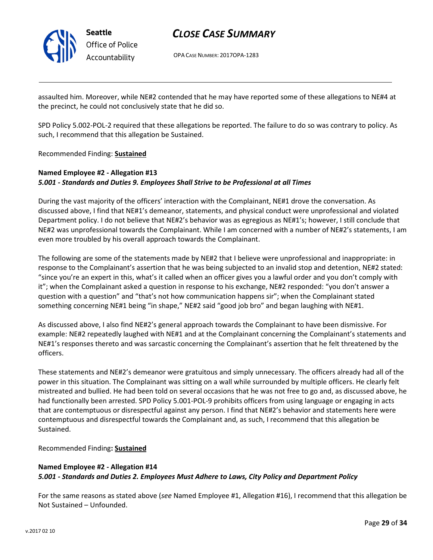

OPA CASE NUMBER: 2017OPA-1283

assaulted him. Moreover, while NE#2 contended that he may have reported some of these allegations to NE#4 at the precinct, he could not conclusively state that he did so.

SPD Policy 5.002-POL-2 required that these allegations be reported. The failure to do so was contrary to policy. As such, I recommend that this allegation be Sustained.

Recommended Finding: Sustained

## Named Employee #2 - Allegation #13 5.001 - Standards and Duties 9. Employees Shall Strive to be Professional at all Times

During the vast majority of the officers' interaction with the Complainant, NE#1 drove the conversation. As discussed above, I find that NE#1's demeanor, statements, and physical conduct were unprofessional and violated Department policy. I do not believe that NE#2's behavior was as egregious as NE#1's; however, I still conclude that NE#2 was unprofessional towards the Complainant. While I am concerned with a number of NE#2's statements, I am even more troubled by his overall approach towards the Complainant.

The following are some of the statements made by NE#2 that I believe were unprofessional and inappropriate: in response to the Complainant's assertion that he was being subjected to an invalid stop and detention, NE#2 stated: "since you're an expert in this, what's it called when an officer gives you a lawful order and you don't comply with it"; when the Complainant asked a question in response to his exchange, NE#2 responded: "you don't answer a question with a question" and "that's not how communication happens sir"; when the Complainant stated something concerning NE#1 being "in shape," NE#2 said "good job bro" and began laughing with NE#1.

As discussed above, I also find NE#2's general approach towards the Complainant to have been dismissive. For example: NE#2 repeatedly laughed with NE#1 and at the Complainant concerning the Complainant's statements and NE#1's responses thereto and was sarcastic concerning the Complainant's assertion that he felt threatened by the officers.

These statements and NE#2's demeanor were gratuitous and simply unnecessary. The officers already had all of the power in this situation. The Complainant was sitting on a wall while surrounded by multiple officers. He clearly felt mistreated and bullied. He had been told on several occasions that he was not free to go and, as discussed above, he had functionally been arrested. SPD Policy 5.001-POL-9 prohibits officers from using language or engaging in acts that are contemptuous or disrespectful against any person. I find that NE#2's behavior and statements here were contemptuous and disrespectful towards the Complainant and, as such, I recommend that this allegation be Sustained.

Recommended Finding: Sustained

## Named Employee #2 - Allegation #14 5.001 - Standards and Duties 2. Employees Must Adhere to Laws, City Policy and Department Policy

For the same reasons as stated above (see Named Employee #1, Allegation #16), I recommend that this allegation be Not Sustained – Unfounded.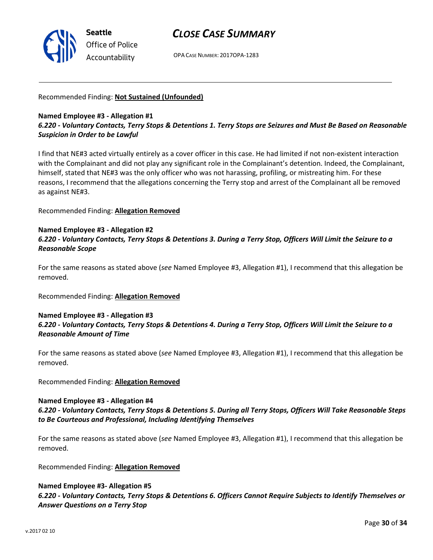

OPA CASE NUMBER: 2017OPA-1283

### Recommended Finding: Not Sustained (Unfounded)

## Named Employee #3 - Allegation #1 6.220 - Voluntary Contacts, Terry Stops & Detentions 1. Terry Stops are Seizures and Must Be Based on Reasonable Suspicion in Order to be Lawful

I find that NE#3 acted virtually entirely as a cover officer in this case. He had limited if not non-existent interaction with the Complainant and did not play any significant role in the Complainant's detention. Indeed, the Complainant, himself, stated that NE#3 was the only officer who was not harassing, profiling, or mistreating him. For these reasons, I recommend that the allegations concerning the Terry stop and arrest of the Complainant all be removed as against NE#3.

Recommended Finding: Allegation Removed

#### Named Employee #3 - Allegation #2

## 6.220 - Voluntary Contacts, Terry Stops & Detentions 3. During a Terry Stop, Officers Will Limit the Seizure to a Reasonable Scope

For the same reasons as stated above (see Named Employee #3, Allegation #1), I recommend that this allegation be removed.

Recommended Finding: Allegation Removed

## Named Employee #3 - Allegation #3 6.220 - Voluntary Contacts, Terry Stops & Detentions 4. During a Terry Stop, Officers Will Limit the Seizure to a Reasonable Amount of Time

For the same reasons as stated above (see Named Employee #3, Allegation #1), I recommend that this allegation be removed.

Recommended Finding: Allegation Removed

### Named Employee #3 - Allegation #4

## 6.220 - Voluntary Contacts, Terry Stops & Detentions 5. During all Terry Stops, Officers Will Take Reasonable Steps to Be Courteous and Professional, Including Identifying Themselves

For the same reasons as stated above (see Named Employee #3, Allegation #1), I recommend that this allegation be removed.

Recommended Finding: Allegation Removed

## Named Employee #3- Allegation #5 6.220 - Voluntary Contacts, Terry Stops & Detentions 6. Officers Cannot Require Subjects to Identify Themselves or Answer Questions on a Terry Stop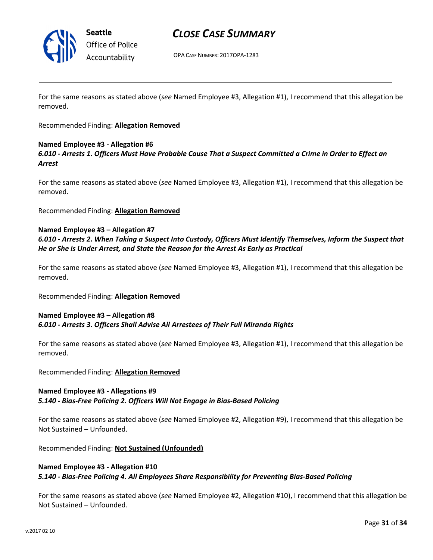

## CLOSE CASE SUMMARY

OPA CASE NUMBER: 2017OPA-1283

For the same reasons as stated above (see Named Employee #3, Allegation #1), I recommend that this allegation be removed.

### Recommended Finding: Allegation Removed

### Named Employee #3 - Allegation #6

6.010 - Arrests 1. Officers Must Have Probable Cause That a Suspect Committed a Crime in Order to Effect an Arrest

For the same reasons as stated above (see Named Employee #3, Allegation #1), I recommend that this allegation be removed.

Recommended Finding: Allegation Removed

#### Named Employee #3 – Allegation #7

6.010 - Arrests 2. When Taking a Suspect Into Custody, Officers Must Identify Themselves, Inform the Suspect that He or She is Under Arrest, and State the Reason for the Arrest As Early as Practical

For the same reasons as stated above (see Named Employee #3, Allegation #1), I recommend that this allegation be removed.

### Recommended Finding: Allegation Removed

### Named Employee #3 – Allegation #8 6.010 - Arrests 3. Officers Shall Advise All Arrestees of Their Full Miranda Rights

For the same reasons as stated above (see Named Employee #3, Allegation #1), I recommend that this allegation be removed.

Recommended Finding: Allegation Removed

#### Named Employee #3 - Allegations #9

5.140 - Bias-Free Policing 2. Officers Will Not Engage in Bias-Based Policing

For the same reasons as stated above (see Named Employee #2, Allegation #9), I recommend that this allegation be Not Sustained – Unfounded.

Recommended Finding: Not Sustained (Unfounded)

### Named Employee #3 - Allegation #10 5.140 - Bias-Free Policing 4. All Employees Share Responsibility for Preventing Bias-Based Policing

For the same reasons as stated above (see Named Employee #2, Allegation #10), I recommend that this allegation be Not Sustained – Unfounded.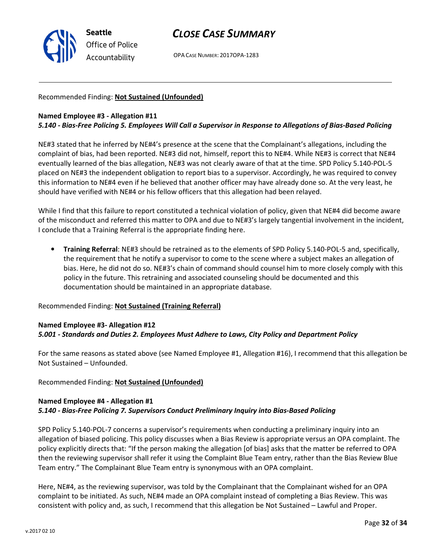

OPA CASE NUMBER: 2017OPA-1283

## Recommended Finding: Not Sustained (Unfounded)

### Named Employee #3 - Allegation #11

### 5.140 - Bias-Free Policing 5. Employees Will Call a Supervisor in Response to Allegations of Bias-Based Policing

NE#3 stated that he inferred by NE#4's presence at the scene that the Complainant's allegations, including the complaint of bias, had been reported. NE#3 did not, himself, report this to NE#4. While NE#3 is correct that NE#4 eventually learned of the bias allegation, NE#3 was not clearly aware of that at the time. SPD Policy 5.140-POL-5 placed on NE#3 the independent obligation to report bias to a supervisor. Accordingly, he was required to convey this information to NE#4 even if he believed that another officer may have already done so. At the very least, he should have verified with NE#4 or his fellow officers that this allegation had been relayed.

While I find that this failure to report constituted a technical violation of policy, given that NE#4 did become aware of the misconduct and referred this matter to OPA and due to NE#3's largely tangential involvement in the incident, I conclude that a Training Referral is the appropriate finding here.

• Training Referral: NE#3 should be retrained as to the elements of SPD Policy 5.140-POL-5 and, specifically, the requirement that he notify a supervisor to come to the scene where a subject makes an allegation of bias. Here, he did not do so. NE#3's chain of command should counsel him to more closely comply with this policy in the future. This retraining and associated counseling should be documented and this documentation should be maintained in an appropriate database.

#### Recommended Finding: Not Sustained (Training Referral)

#### Named Employee #3- Allegation #12 5.001 - Standards and Duties 2. Employees Must Adhere to Laws, City Policy and Department Policy

For the same reasons as stated above (see Named Employee #1, Allegation #16), I recommend that this allegation be Not Sustained – Unfounded.

### Recommended Finding: Not Sustained (Unfounded)

## Named Employee #4 - Allegation #1 5.140 - Bias-Free Policing 7. Supervisors Conduct Preliminary Inquiry into Bias-Based Policing

SPD Policy 5.140-POL-7 concerns a supervisor's requirements when conducting a preliminary inquiry into an allegation of biased policing. This policy discusses when a Bias Review is appropriate versus an OPA complaint. The policy explicitly directs that: "If the person making the allegation [of bias] asks that the matter be referred to OPA then the reviewing supervisor shall refer it using the Complaint Blue Team entry, rather than the Bias Review Blue Team entry." The Complainant Blue Team entry is synonymous with an OPA complaint.

Here, NE#4, as the reviewing supervisor, was told by the Complainant that the Complainant wished for an OPA complaint to be initiated. As such, NE#4 made an OPA complaint instead of completing a Bias Review. This was consistent with policy and, as such, I recommend that this allegation be Not Sustained – Lawful and Proper.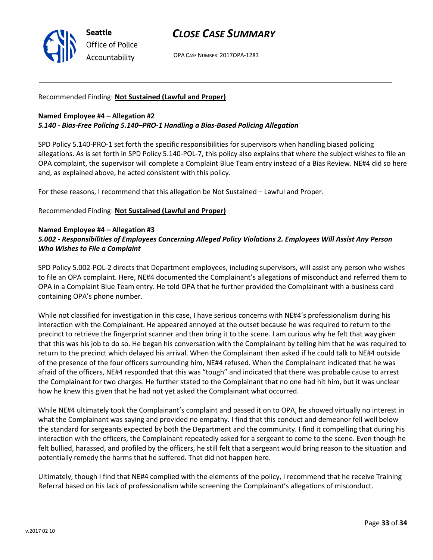

OPA CASE NUMBER: 2017OPA-1283

### Recommended Finding: Not Sustained (Lawful and Proper)

### Named Employee #4 – Allegation #2 5.140 - Bias-Free Policing 5.140–PRO-1 Handling a Bias-Based Policing Allegation

SPD Policy 5.140-PRO-1 set forth the specific responsibilities for supervisors when handling biased policing allegations. As is set forth in SPD Policy 5.140-POL-7, this policy also explains that where the subject wishes to file an OPA complaint, the supervisor will complete a Complaint Blue Team entry instead of a Bias Review. NE#4 did so here and, as explained above, he acted consistent with this policy.

For these reasons, I recommend that this allegation be Not Sustained – Lawful and Proper.

Recommended Finding: Not Sustained (Lawful and Proper)

#### Named Employee #4 – Allegation #3

## 5.002 - Responsibilities of Employees Concerning Alleged Policy Violations 2. Employees Will Assist Any Person Who Wishes to File a Complaint

SPD Policy 5.002-POL-2 directs that Department employees, including supervisors, will assist any person who wishes to file an OPA complaint. Here, NE#4 documented the Complainant's allegations of misconduct and referred them to OPA in a Complaint Blue Team entry. He told OPA that he further provided the Complainant with a business card containing OPA's phone number.

While not classified for investigation in this case, I have serious concerns with NE#4's professionalism during his interaction with the Complainant. He appeared annoyed at the outset because he was required to return to the precinct to retrieve the fingerprint scanner and then bring it to the scene. I am curious why he felt that way given that this was his job to do so. He began his conversation with the Complainant by telling him that he was required to return to the precinct which delayed his arrival. When the Complainant then asked if he could talk to NE#4 outside of the presence of the four officers surrounding him, NE#4 refused. When the Complainant indicated that he was afraid of the officers, NE#4 responded that this was "tough" and indicated that there was probable cause to arrest the Complainant for two charges. He further stated to the Complainant that no one had hit him, but it was unclear how he knew this given that he had not yet asked the Complainant what occurred.

While NE#4 ultimately took the Complainant's complaint and passed it on to OPA, he showed virtually no interest in what the Complainant was saying and provided no empathy. I find that this conduct and demeanor fell well below the standard for sergeants expected by both the Department and the community. I find it compelling that during his interaction with the officers, the Complainant repeatedly asked for a sergeant to come to the scene. Even though he felt bullied, harassed, and profiled by the officers, he still felt that a sergeant would bring reason to the situation and potentially remedy the harms that he suffered. That did not happen here.

Ultimately, though I find that NE#4 complied with the elements of the policy, I recommend that he receive Training Referral based on his lack of professionalism while screening the Complainant's allegations of misconduct.